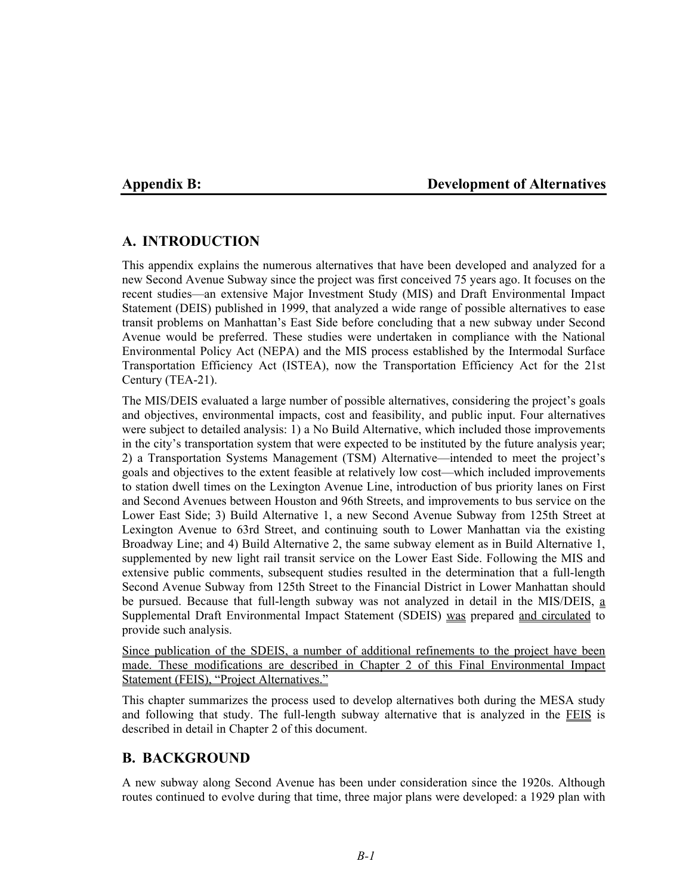# **Appendix B: Development of Alternatives**

# **A. INTRODUCTION**

This appendix explains the numerous alternatives that have been developed and analyzed for a new Second Avenue Subway since the project was first conceived 75 years ago. It focuses on the recent studies—an extensive Major Investment Study (MIS) and Draft Environmental Impact Statement (DEIS) published in 1999, that analyzed a wide range of possible alternatives to ease transit problems on Manhattan's East Side before concluding that a new subway under Second Avenue would be preferred. These studies were undertaken in compliance with the National Environmental Policy Act (NEPA) and the MIS process established by the Intermodal Surface Transportation Efficiency Act (ISTEA), now the Transportation Efficiency Act for the 21st Century (TEA-21).

The MIS/DEIS evaluated a large number of possible alternatives, considering the project's goals and objectives, environmental impacts, cost and feasibility, and public input. Four alternatives were subject to detailed analysis: 1) a No Build Alternative, which included those improvements in the city's transportation system that were expected to be instituted by the future analysis year; 2) a Transportation Systems Management (TSM) Alternative—intended to meet the project's goals and objectives to the extent feasible at relatively low cost—which included improvements to station dwell times on the Lexington Avenue Line, introduction of bus priority lanes on First and Second Avenues between Houston and 96th Streets, and improvements to bus service on the Lower East Side; 3) Build Alternative 1, a new Second Avenue Subway from 125th Street at Lexington Avenue to 63rd Street, and continuing south to Lower Manhattan via the existing Broadway Line; and 4) Build Alternative 2, the same subway element as in Build Alternative 1, supplemented by new light rail transit service on the Lower East Side. Following the MIS and extensive public comments, subsequent studies resulted in the determination that a full-length Second Avenue Subway from 125th Street to the Financial District in Lower Manhattan should be pursued. Because that full-length subway was not analyzed in detail in the MIS/DEIS, a Supplemental Draft Environmental Impact Statement (SDEIS) was prepared and circulated to provide such analysis.

Since publication of the SDEIS, a number of additional refinements to the project have been made. These modifications are described in Chapter 2 of this Final Environmental Impact Statement (FEIS), "Project Alternatives."

This chapter summarizes the process used to develop alternatives both during the MESA study and following that study. The full-length subway alternative that is analyzed in the FEIS is described in detail in Chapter 2 of this document.

# **B. BACKGROUND**

A new subway along Second Avenue has been under consideration since the 1920s. Although routes continued to evolve during that time, three major plans were developed: a 1929 plan with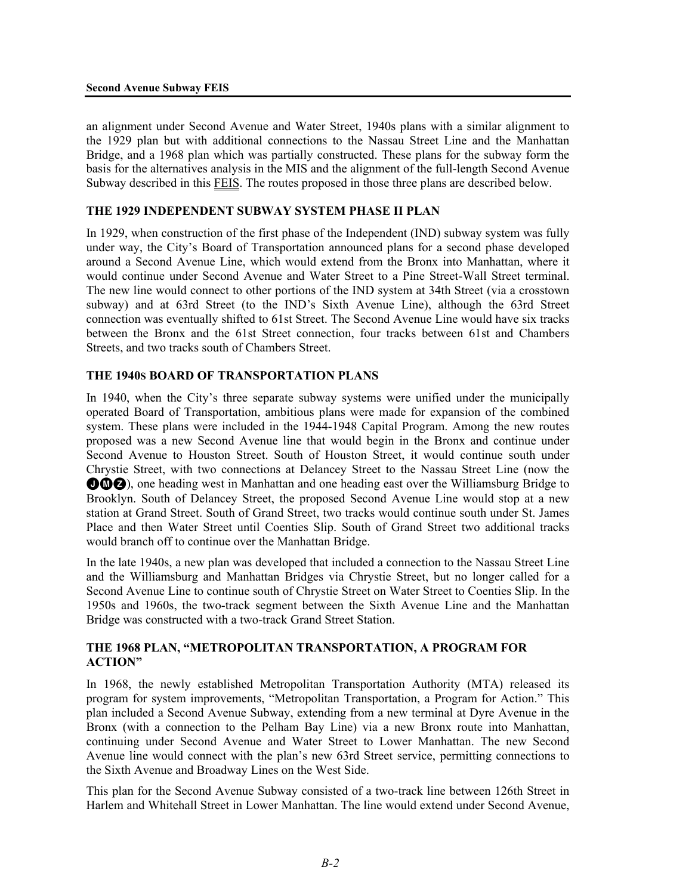an alignment under Second Avenue and Water Street, 1940s plans with a similar alignment to the 1929 plan but with additional connections to the Nassau Street Line and the Manhattan Bridge, and a 1968 plan which was partially constructed. These plans for the subway form the basis for the alternatives analysis in the MIS and the alignment of the full-length Second Avenue Subway described in this FEIS. The routes proposed in those three plans are described below.

# **THE 1929 INDEPENDENT SUBWAY SYSTEM PHASE II PLAN**

In 1929, when construction of the first phase of the Independent (IND) subway system was fully under way, the City's Board of Transportation announced plans for a second phase developed around a Second Avenue Line, which would extend from the Bronx into Manhattan, where it would continue under Second Avenue and Water Street to a Pine Street-Wall Street terminal. The new line would connect to other portions of the IND system at 34th Street (via a crosstown subway) and at 63rd Street (to the IND's Sixth Avenue Line), although the 63rd Street connection was eventually shifted to 61st Street. The Second Avenue Line would have six tracks between the Bronx and the 61st Street connection, four tracks between 61st and Chambers Streets, and two tracks south of Chambers Street.

# **THE 1940S BOARD OF TRANSPORTATION PLANS**

In 1940, when the City's three separate subway systems were unified under the municipally operated Board of Transportation, ambitious plans were made for expansion of the combined system. These plans were included in the 1944-1948 Capital Program. Among the new routes proposed was a new Second Avenue line that would begin in the Bronx and continue under Second Avenue to Houston Street. South of Houston Street, it would continue south under Chrystie Street, with two connections at Delancey Street to the Nassau Street Line (now the **OMZ**), one heading west in Manhattan and one heading east over the Williamsburg Bridge to Brooklyn. South of Delancey Street, the proposed Second Avenue Line would stop at a new station at Grand Street. South of Grand Street, two tracks would continue south under St. James Place and then Water Street until Coenties Slip. South of Grand Street two additional tracks would branch off to continue over the Manhattan Bridge.

In the late 1940s, a new plan was developed that included a connection to the Nassau Street Line and the Williamsburg and Manhattan Bridges via Chrystie Street, but no longer called for a Second Avenue Line to continue south of Chrystie Street on Water Street to Coenties Slip. In the 1950s and 1960s, the two-track segment between the Sixth Avenue Line and the Manhattan Bridge was constructed with a two-track Grand Street Station.

### **THE 1968 PLAN, "METROPOLITAN TRANSPORTATION, A PROGRAM FOR ACTION"**

In 1968, the newly established Metropolitan Transportation Authority (MTA) released its program for system improvements, "Metropolitan Transportation, a Program for Action." This plan included a Second Avenue Subway, extending from a new terminal at Dyre Avenue in the Bronx (with a connection to the Pelham Bay Line) via a new Bronx route into Manhattan, continuing under Second Avenue and Water Street to Lower Manhattan. The new Second Avenue line would connect with the plan's new 63rd Street service, permitting connections to the Sixth Avenue and Broadway Lines on the West Side.

This plan for the Second Avenue Subway consisted of a two-track line between 126th Street in Harlem and Whitehall Street in Lower Manhattan. The line would extend under Second Avenue,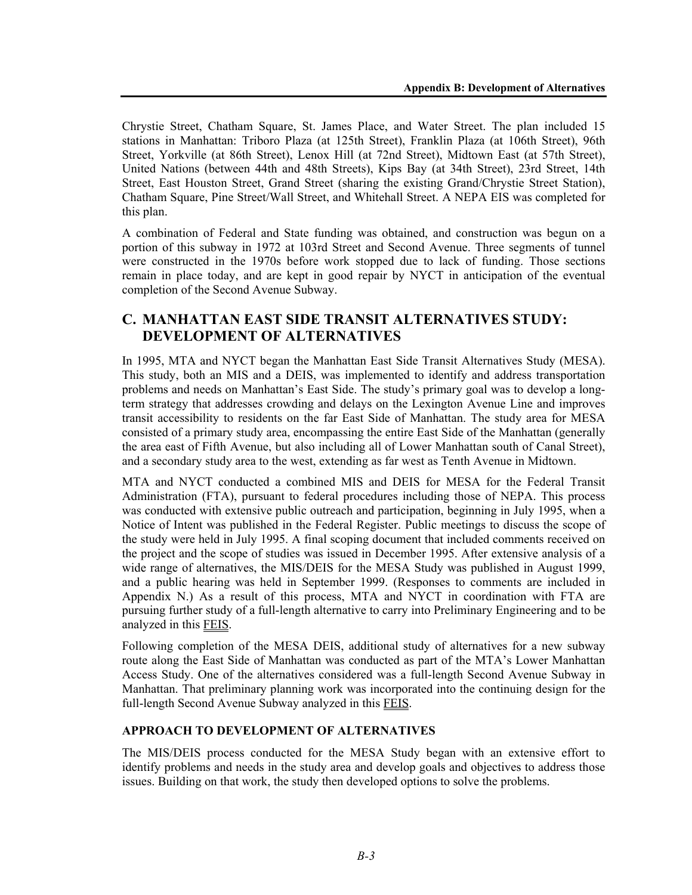Chrystie Street, Chatham Square, St. James Place, and Water Street. The plan included 15 stations in Manhattan: Triboro Plaza (at 125th Street), Franklin Plaza (at 106th Street), 96th Street, Yorkville (at 86th Street), Lenox Hill (at 72nd Street), Midtown East (at 57th Street), United Nations (between 44th and 48th Streets), Kips Bay (at 34th Street), 23rd Street, 14th Street, East Houston Street, Grand Street (sharing the existing Grand/Chrystie Street Station), Chatham Square, Pine Street/Wall Street, and Whitehall Street. A NEPA EIS was completed for this plan.

A combination of Federal and State funding was obtained, and construction was begun on a portion of this subway in 1972 at 103rd Street and Second Avenue. Three segments of tunnel were constructed in the 1970s before work stopped due to lack of funding. Those sections remain in place today, and are kept in good repair by NYCT in anticipation of the eventual completion of the Second Avenue Subway.

# **C. MANHATTAN EAST SIDE TRANSIT ALTERNATIVES STUDY: DEVELOPMENT OF ALTERNATIVES**

In 1995, MTA and NYCT began the Manhattan East Side Transit Alternatives Study (MESA). This study, both an MIS and a DEIS, was implemented to identify and address transportation problems and needs on Manhattan's East Side. The study's primary goal was to develop a longterm strategy that addresses crowding and delays on the Lexington Avenue Line and improves transit accessibility to residents on the far East Side of Manhattan. The study area for MESA consisted of a primary study area, encompassing the entire East Side of the Manhattan (generally the area east of Fifth Avenue, but also including all of Lower Manhattan south of Canal Street), and a secondary study area to the west, extending as far west as Tenth Avenue in Midtown.

MTA and NYCT conducted a combined MIS and DEIS for MESA for the Federal Transit Administration (FTA), pursuant to federal procedures including those of NEPA. This process was conducted with extensive public outreach and participation, beginning in July 1995, when a Notice of Intent was published in the Federal Register. Public meetings to discuss the scope of the study were held in July 1995. A final scoping document that included comments received on the project and the scope of studies was issued in December 1995. After extensive analysis of a wide range of alternatives, the MIS/DEIS for the MESA Study was published in August 1999, and a public hearing was held in September 1999. (Responses to comments are included in Appendix N.) As a result of this process, MTA and NYCT in coordination with FTA are pursuing further study of a full-length alternative to carry into Preliminary Engineering and to be analyzed in this FEIS.

Following completion of the MESA DEIS, additional study of alternatives for a new subway route along the East Side of Manhattan was conducted as part of the MTA's Lower Manhattan Access Study. One of the alternatives considered was a full-length Second Avenue Subway in Manhattan. That preliminary planning work was incorporated into the continuing design for the full-length Second Avenue Subway analyzed in this FEIS.

# **APPROACH TO DEVELOPMENT OF ALTERNATIVES**

The MIS/DEIS process conducted for the MESA Study began with an extensive effort to identify problems and needs in the study area and develop goals and objectives to address those issues. Building on that work, the study then developed options to solve the problems.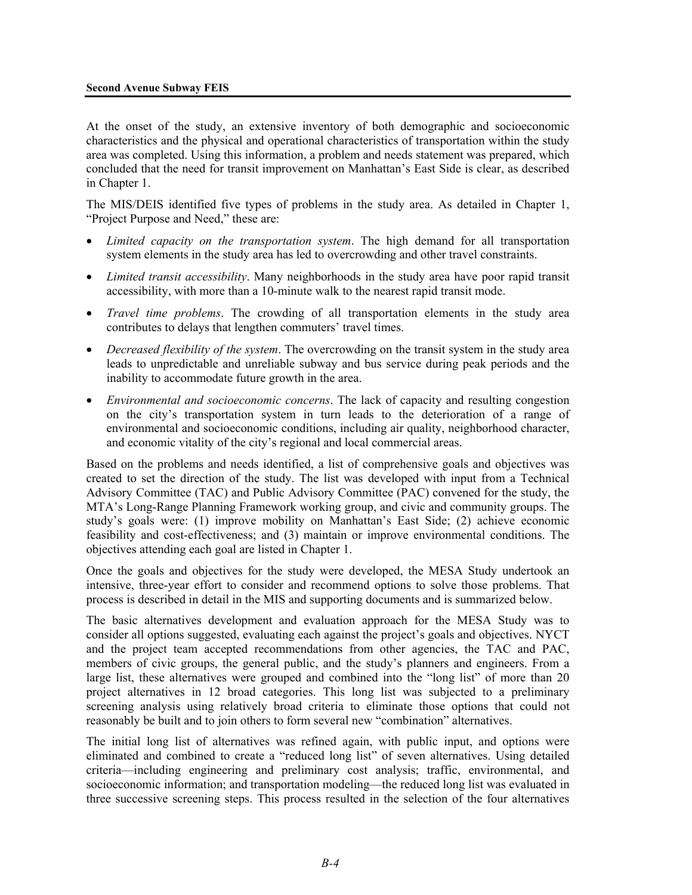At the onset of the study, an extensive inventory of both demographic and socioeconomic characteristics and the physical and operational characteristics of transportation within the study area was completed. Using this information, a problem and needs statement was prepared, which concluded that the need for transit improvement on Manhattan's East Side is clear, as described in Chapter 1.

The MIS/DEIS identified five types of problems in the study area. As detailed in Chapter 1, "Project Purpose and Need," these are:

- *Limited capacity on the transportation system*. The high demand for all transportation system elements in the study area has led to overcrowding and other travel constraints.
- *Limited transit accessibility*. Many neighborhoods in the study area have poor rapid transit accessibility, with more than a 10-minute walk to the nearest rapid transit mode.
- *Travel time problems*. The crowding of all transportation elements in the study area contributes to delays that lengthen commuters' travel times.
- *Decreased flexibility of the system*. The overcrowding on the transit system in the study area leads to unpredictable and unreliable subway and bus service during peak periods and the inability to accommodate future growth in the area.
- *Environmental and socioeconomic concerns*. The lack of capacity and resulting congestion on the city's transportation system in turn leads to the deterioration of a range of environmental and socioeconomic conditions, including air quality, neighborhood character, and economic vitality of the city's regional and local commercial areas.

Based on the problems and needs identified, a list of comprehensive goals and objectives was created to set the direction of the study. The list was developed with input from a Technical Advisory Committee (TAC) and Public Advisory Committee (PAC) convened for the study, the MTA's Long-Range Planning Framework working group, and civic and community groups. The study's goals were: (1) improve mobility on Manhattan's East Side; (2) achieve economic feasibility and cost-effectiveness; and (3) maintain or improve environmental conditions. The objectives attending each goal are listed in Chapter 1.

Once the goals and objectives for the study were developed, the MESA Study undertook an intensive, three-year effort to consider and recommend options to solve those problems. That process is described in detail in the MIS and supporting documents and is summarized below.

The basic alternatives development and evaluation approach for the MESA Study was to consider all options suggested, evaluating each against the project's goals and objectives. NYCT and the project team accepted recommendations from other agencies, the TAC and PAC, members of civic groups, the general public, and the study's planners and engineers. From a large list, these alternatives were grouped and combined into the "long list" of more than 20 project alternatives in 12 broad categories. This long list was subjected to a preliminary screening analysis using relatively broad criteria to eliminate those options that could not reasonably be built and to join others to form several new "combination" alternatives.

The initial long list of alternatives was refined again, with public input, and options were eliminated and combined to create a "reduced long list" of seven alternatives. Using detailed criteria—including engineering and preliminary cost analysis; traffic, environmental, and socioeconomic information; and transportation modeling—the reduced long list was evaluated in three successive screening steps. This process resulted in the selection of the four alternatives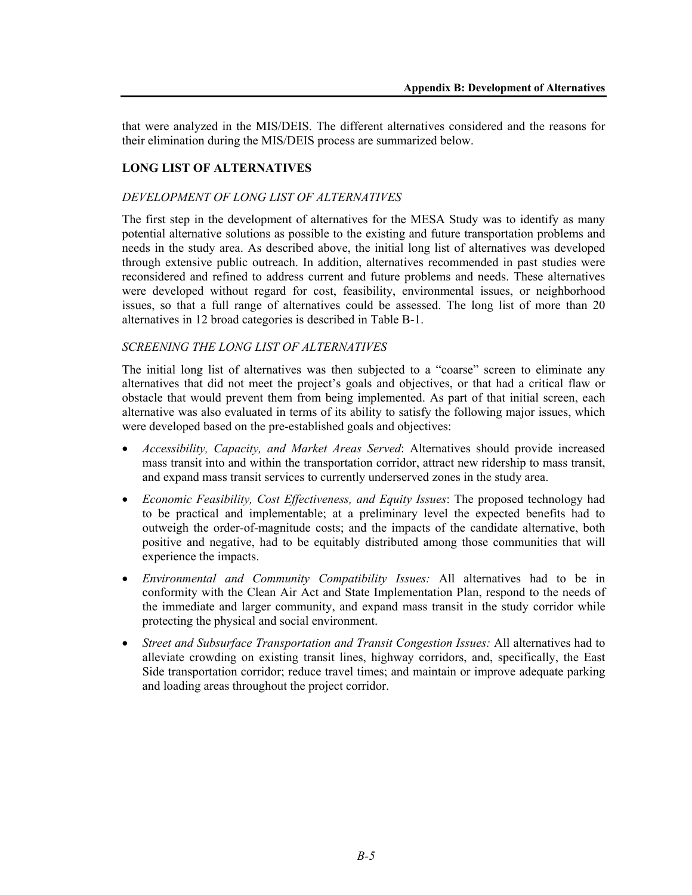that were analyzed in the MIS/DEIS. The different alternatives considered and the reasons for their elimination during the MIS/DEIS process are summarized below.

# **LONG LIST OF ALTERNATIVES**

#### *DEVELOPMENT OF LONG LIST OF ALTERNATIVES*

The first step in the development of alternatives for the MESA Study was to identify as many potential alternative solutions as possible to the existing and future transportation problems and needs in the study area. As described above, the initial long list of alternatives was developed through extensive public outreach. In addition, alternatives recommended in past studies were reconsidered and refined to address current and future problems and needs. These alternatives were developed without regard for cost, feasibility, environmental issues, or neighborhood issues, so that a full range of alternatives could be assessed. The long list of more than 20 alternatives in 12 broad categories is described in Table B-1.

### *SCREENING THE LONG LIST OF ALTERNATIVES*

The initial long list of alternatives was then subjected to a "coarse" screen to eliminate any alternatives that did not meet the project's goals and objectives, or that had a critical flaw or obstacle that would prevent them from being implemented. As part of that initial screen, each alternative was also evaluated in terms of its ability to satisfy the following major issues, which were developed based on the pre-established goals and objectives:

- *Accessibility, Capacity, and Market Areas Served*: Alternatives should provide increased mass transit into and within the transportation corridor, attract new ridership to mass transit, and expand mass transit services to currently underserved zones in the study area.
- *Economic Feasibility, Cost Effectiveness, and Equity Issues*: The proposed technology had to be practical and implementable; at a preliminary level the expected benefits had to outweigh the order-of-magnitude costs; and the impacts of the candidate alternative, both positive and negative, had to be equitably distributed among those communities that will experience the impacts.
- *Environmental and Community Compatibility Issues:* All alternatives had to be in conformity with the Clean Air Act and State Implementation Plan, respond to the needs of the immediate and larger community, and expand mass transit in the study corridor while protecting the physical and social environment.
- *Street and Subsurface Transportation and Transit Congestion Issues:* All alternatives had to alleviate crowding on existing transit lines, highway corridors, and, specifically, the East Side transportation corridor; reduce travel times; and maintain or improve adequate parking and loading areas throughout the project corridor.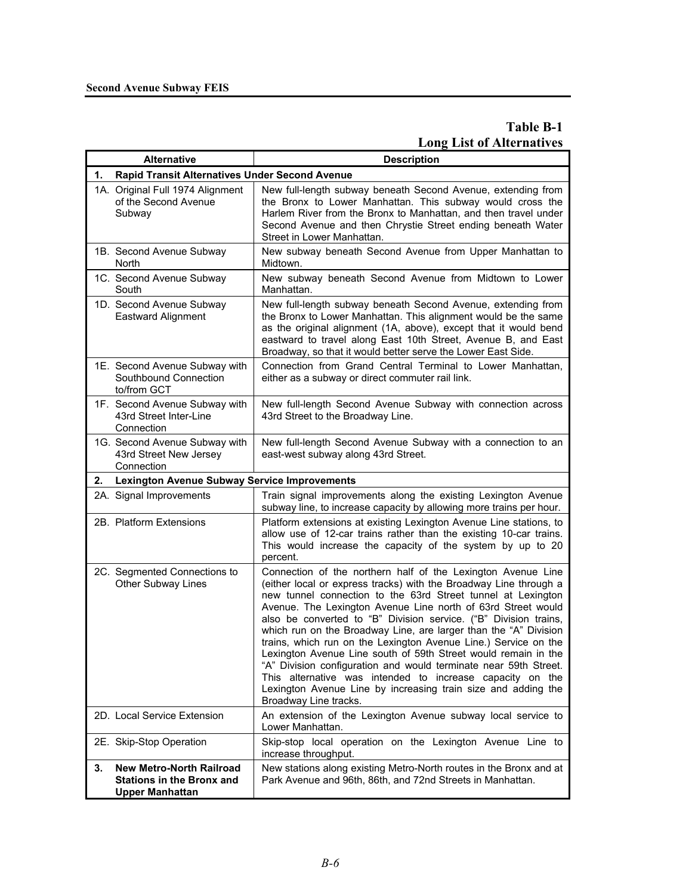# **Table B-1 Long List of Alternatives**

|    | <b>Alternative</b>                                                                            | <b>EURO VE L'ALVEL ILIA</b><br><b>Description</b>                                                                                                                                                                                                                                                                                                                                                                                                                                                                                                                                                                                                                                                                                                                         |  |  |  |  |
|----|-----------------------------------------------------------------------------------------------|---------------------------------------------------------------------------------------------------------------------------------------------------------------------------------------------------------------------------------------------------------------------------------------------------------------------------------------------------------------------------------------------------------------------------------------------------------------------------------------------------------------------------------------------------------------------------------------------------------------------------------------------------------------------------------------------------------------------------------------------------------------------------|--|--|--|--|
|    | 1.<br><b>Rapid Transit Alternatives Under Second Avenue</b>                                   |                                                                                                                                                                                                                                                                                                                                                                                                                                                                                                                                                                                                                                                                                                                                                                           |  |  |  |  |
|    | 1A. Original Full 1974 Alignment<br>of the Second Avenue<br>Subway                            | New full-length subway beneath Second Avenue, extending from<br>the Bronx to Lower Manhattan. This subway would cross the<br>Harlem River from the Bronx to Manhattan, and then travel under<br>Second Avenue and then Chrystie Street ending beneath Water<br>Street in Lower Manhattan.                                                                                                                                                                                                                                                                                                                                                                                                                                                                                 |  |  |  |  |
|    | 1B. Second Avenue Subway<br>North                                                             | New subway beneath Second Avenue from Upper Manhattan to<br>Midtown.                                                                                                                                                                                                                                                                                                                                                                                                                                                                                                                                                                                                                                                                                                      |  |  |  |  |
|    | 1C. Second Avenue Subway<br>South                                                             | New subway beneath Second Avenue from Midtown to Lower<br>Manhattan.                                                                                                                                                                                                                                                                                                                                                                                                                                                                                                                                                                                                                                                                                                      |  |  |  |  |
|    | 1D. Second Avenue Subway<br>Eastward Alignment                                                | New full-length subway beneath Second Avenue, extending from<br>the Bronx to Lower Manhattan. This alignment would be the same<br>as the original alignment (1A, above), except that it would bend<br>eastward to travel along East 10th Street, Avenue B, and East<br>Broadway, so that it would better serve the Lower East Side.                                                                                                                                                                                                                                                                                                                                                                                                                                       |  |  |  |  |
|    | 1E. Second Avenue Subway with<br>Southbound Connection<br>to/from GCT                         | Connection from Grand Central Terminal to Lower Manhattan,<br>either as a subway or direct commuter rail link.                                                                                                                                                                                                                                                                                                                                                                                                                                                                                                                                                                                                                                                            |  |  |  |  |
|    | 1F. Second Avenue Subway with<br>43rd Street Inter-Line<br>Connection                         | New full-length Second Avenue Subway with connection across<br>43rd Street to the Broadway Line.                                                                                                                                                                                                                                                                                                                                                                                                                                                                                                                                                                                                                                                                          |  |  |  |  |
|    | 1G. Second Avenue Subway with<br>43rd Street New Jersey<br>Connection                         | New full-length Second Avenue Subway with a connection to an<br>east-west subway along 43rd Street.                                                                                                                                                                                                                                                                                                                                                                                                                                                                                                                                                                                                                                                                       |  |  |  |  |
| 2. | <b>Lexington Avenue Subway Service Improvements</b>                                           |                                                                                                                                                                                                                                                                                                                                                                                                                                                                                                                                                                                                                                                                                                                                                                           |  |  |  |  |
|    | 2A. Signal Improvements                                                                       | Train signal improvements along the existing Lexington Avenue<br>subway line, to increase capacity by allowing more trains per hour.                                                                                                                                                                                                                                                                                                                                                                                                                                                                                                                                                                                                                                      |  |  |  |  |
|    | 2B. Platform Extensions                                                                       | Platform extensions at existing Lexington Avenue Line stations, to<br>allow use of 12-car trains rather than the existing 10-car trains.<br>This would increase the capacity of the system by up to 20<br>percent.                                                                                                                                                                                                                                                                                                                                                                                                                                                                                                                                                        |  |  |  |  |
|    | 2C. Segmented Connections to<br>Other Subway Lines                                            | Connection of the northern half of the Lexington Avenue Line<br>(either local or express tracks) with the Broadway Line through a<br>new tunnel connection to the 63rd Street tunnel at Lexington<br>Avenue. The Lexington Avenue Line north of 63rd Street would<br>also be converted to "B" Division service. ("B" Division trains,<br>which run on the Broadway Line, are larger than the "A" Division<br>trains, which run on the Lexington Avenue Line.) Service on the<br>Lexington Avenue Line south of 59th Street would remain in the<br>"A" Division configuration and would terminate near 59th Street.<br>This alternative was intended to increase capacity on the<br>Lexington Avenue Line by increasing train size and adding the<br>Broadway Line tracks. |  |  |  |  |
|    | 2D. Local Service Extension                                                                   | An extension of the Lexington Avenue subway local service to<br>Lower Manhattan.                                                                                                                                                                                                                                                                                                                                                                                                                                                                                                                                                                                                                                                                                          |  |  |  |  |
|    | 2E. Skip-Stop Operation                                                                       | Skip-stop local operation on the Lexington Avenue Line to<br>increase throughput.                                                                                                                                                                                                                                                                                                                                                                                                                                                                                                                                                                                                                                                                                         |  |  |  |  |
| 3. | <b>New Metro-North Railroad</b><br><b>Stations in the Bronx and</b><br><b>Upper Manhattan</b> | New stations along existing Metro-North routes in the Bronx and at<br>Park Avenue and 96th, 86th, and 72nd Streets in Manhattan.                                                                                                                                                                                                                                                                                                                                                                                                                                                                                                                                                                                                                                          |  |  |  |  |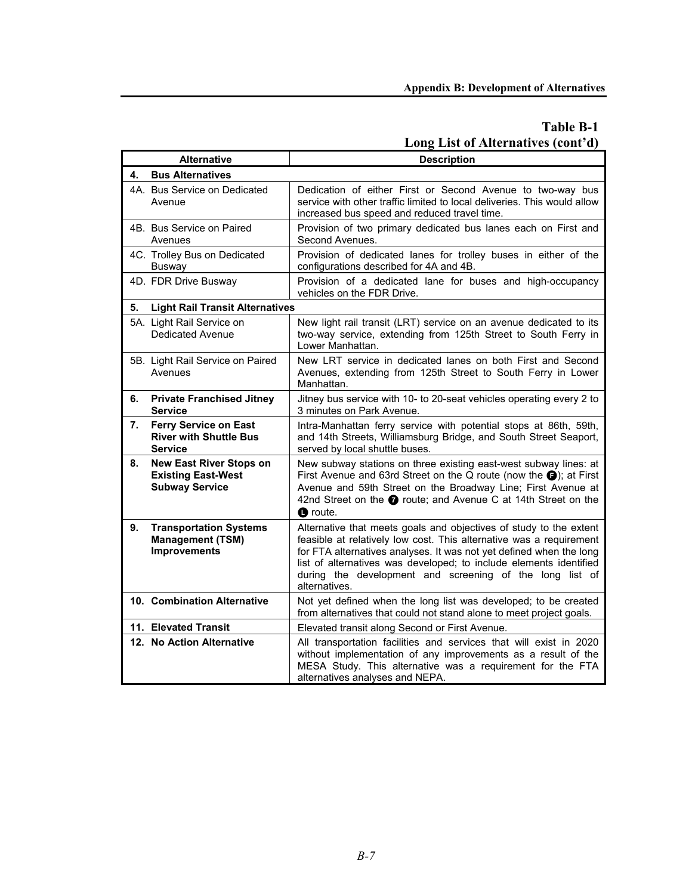# **Table B-1 Long List of Alternatives (cont'd)**

|    | <b>Alternative</b>                                                                   | <b>Description</b>                                                                                                                                                                                                                                                                                                                                                  |  |  |
|----|--------------------------------------------------------------------------------------|---------------------------------------------------------------------------------------------------------------------------------------------------------------------------------------------------------------------------------------------------------------------------------------------------------------------------------------------------------------------|--|--|
| 4. | <b>Bus Alternatives</b>                                                              |                                                                                                                                                                                                                                                                                                                                                                     |  |  |
|    | 4A. Bus Service on Dedicated<br>Avenue                                               | Dedication of either First or Second Avenue to two-way bus<br>service with other traffic limited to local deliveries. This would allow<br>increased bus speed and reduced travel time.                                                                                                                                                                              |  |  |
|    | 4B. Bus Service on Paired<br>Avenues                                                 | Provision of two primary dedicated bus lanes each on First and<br>Second Avenues.                                                                                                                                                                                                                                                                                   |  |  |
|    | 4C. Trolley Bus on Dedicated<br><b>Busway</b>                                        | Provision of dedicated lanes for trolley buses in either of the<br>configurations described for 4A and 4B.                                                                                                                                                                                                                                                          |  |  |
|    | 4D. FDR Drive Busway                                                                 | Provision of a dedicated lane for buses and high-occupancy<br>vehicles on the FDR Drive.                                                                                                                                                                                                                                                                            |  |  |
| 5. | <b>Light Rail Transit Alternatives</b>                                               |                                                                                                                                                                                                                                                                                                                                                                     |  |  |
|    | 5A. Light Rail Service on<br>Dedicated Avenue                                        | New light rail transit (LRT) service on an avenue dedicated to its<br>two-way service, extending from 125th Street to South Ferry in<br>Lower Manhattan.                                                                                                                                                                                                            |  |  |
|    | 5B. Light Rail Service on Paired<br>Avenues                                          | New LRT service in dedicated lanes on both First and Second<br>Avenues, extending from 125th Street to South Ferry in Lower<br>Manhattan.                                                                                                                                                                                                                           |  |  |
| 6. | <b>Private Franchised Jitney</b><br><b>Service</b>                                   | Jitney bus service with 10- to 20-seat vehicles operating every 2 to<br>3 minutes on Park Avenue.                                                                                                                                                                                                                                                                   |  |  |
| 7. | <b>Ferry Service on East</b><br><b>River with Shuttle Bus</b><br><b>Service</b>      | Intra-Manhattan ferry service with potential stops at 86th, 59th,<br>and 14th Streets, Williamsburg Bridge, and South Street Seaport,<br>served by local shuttle buses.                                                                                                                                                                                             |  |  |
| 8. | <b>New East River Stops on</b><br><b>Existing East-West</b><br><b>Subway Service</b> | New subway stations on three existing east-west subway lines: at<br>First Avenue and 63rd Street on the Q route (now the $\bigcirc$ ); at First<br>Avenue and 59th Street on the Broadway Line; First Avenue at<br>42nd Street on the @ route; and Avenue C at 14th Street on the<br><b>O</b> route.                                                                |  |  |
| 9. | <b>Transportation Systems</b><br><b>Management (TSM)</b><br>Improvements             | Alternative that meets goals and objectives of study to the extent<br>feasible at relatively low cost. This alternative was a requirement<br>for FTA alternatives analyses. It was not yet defined when the long<br>list of alternatives was developed; to include elements identified<br>during the development and screening of the long list of<br>alternatives. |  |  |
|    | 10. Combination Alternative                                                          | Not yet defined when the long list was developed; to be created<br>from alternatives that could not stand alone to meet project goals.                                                                                                                                                                                                                              |  |  |
|    | 11. Elevated Transit                                                                 | Elevated transit along Second or First Avenue.                                                                                                                                                                                                                                                                                                                      |  |  |
|    | 12. No Action Alternative                                                            | All transportation facilities and services that will exist in 2020<br>without implementation of any improvements as a result of the<br>MESA Study. This alternative was a requirement for the FTA<br>alternatives analyses and NEPA.                                                                                                                                |  |  |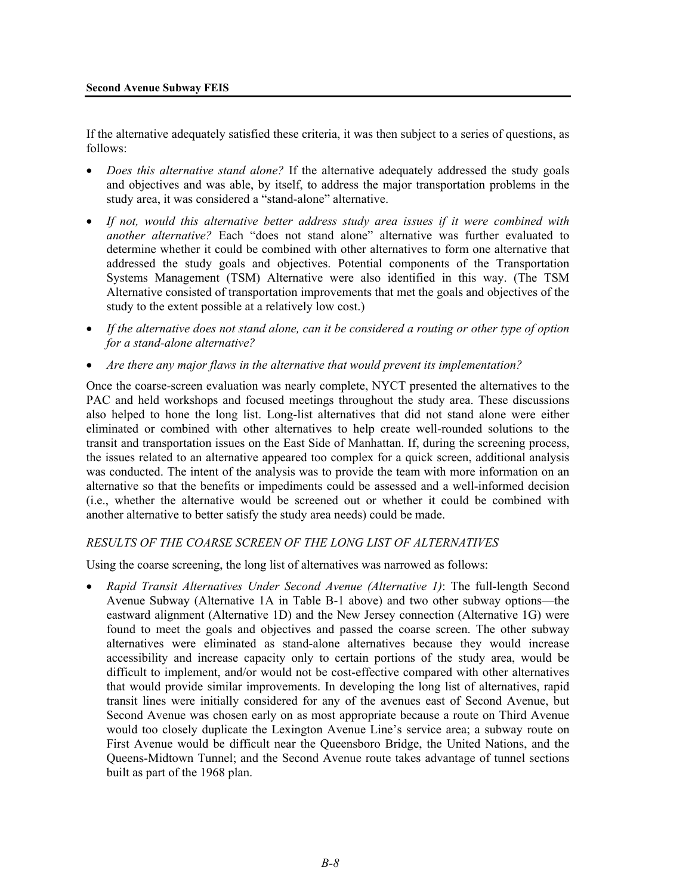If the alternative adequately satisfied these criteria, it was then subject to a series of questions, as follows:

- *Does this alternative stand alone?* If the alternative adequately addressed the study goals and objectives and was able, by itself, to address the major transportation problems in the study area, it was considered a "stand-alone" alternative.
- *If not, would this alternative better address study area issues if it were combined with another alternative?* Each "does not stand alone" alternative was further evaluated to determine whether it could be combined with other alternatives to form one alternative that addressed the study goals and objectives. Potential components of the Transportation Systems Management (TSM) Alternative were also identified in this way. (The TSM Alternative consisted of transportation improvements that met the goals and objectives of the study to the extent possible at a relatively low cost.)
- *If the alternative does not stand alone, can it be considered a routing or other type of option for a stand-alone alternative?*
- *Are there any major flaws in the alternative that would prevent its implementation?*

Once the coarse-screen evaluation was nearly complete, NYCT presented the alternatives to the PAC and held workshops and focused meetings throughout the study area. These discussions also helped to hone the long list. Long-list alternatives that did not stand alone were either eliminated or combined with other alternatives to help create well-rounded solutions to the transit and transportation issues on the East Side of Manhattan. If, during the screening process, the issues related to an alternative appeared too complex for a quick screen, additional analysis was conducted. The intent of the analysis was to provide the team with more information on an alternative so that the benefits or impediments could be assessed and a well-informed decision (i.e., whether the alternative would be screened out or whether it could be combined with another alternative to better satisfy the study area needs) could be made.

### *RESULTS OF THE COARSE SCREEN OF THE LONG LIST OF ALTERNATIVES*

Using the coarse screening, the long list of alternatives was narrowed as follows:

• *Rapid Transit Alternatives Under Second Avenue (Alternative 1)*: The full-length Second Avenue Subway (Alternative 1A in Table B-1 above) and two other subway options—the eastward alignment (Alternative 1D) and the New Jersey connection (Alternative 1G) were found to meet the goals and objectives and passed the coarse screen. The other subway alternatives were eliminated as stand-alone alternatives because they would increase accessibility and increase capacity only to certain portions of the study area, would be difficult to implement, and/or would not be cost-effective compared with other alternatives that would provide similar improvements. In developing the long list of alternatives, rapid transit lines were initially considered for any of the avenues east of Second Avenue, but Second Avenue was chosen early on as most appropriate because a route on Third Avenue would too closely duplicate the Lexington Avenue Line's service area; a subway route on First Avenue would be difficult near the Queensboro Bridge, the United Nations, and the Queens-Midtown Tunnel; and the Second Avenue route takes advantage of tunnel sections built as part of the 1968 plan.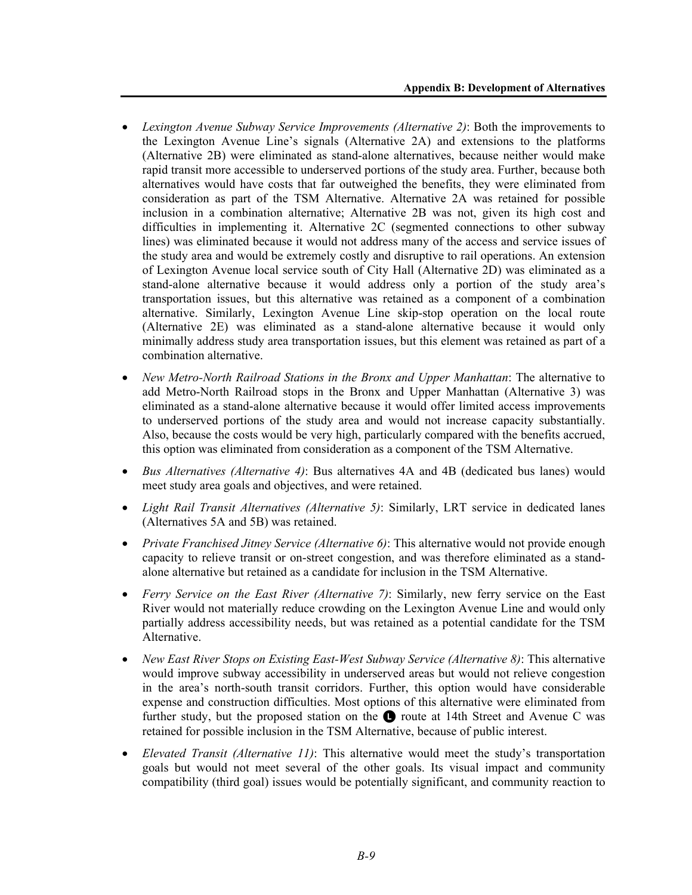- *Lexington Avenue Subway Service Improvements (Alternative 2)*: Both the improvements to the Lexington Avenue Line's signals (Alternative 2A) and extensions to the platforms (Alternative 2B) were eliminated as stand-alone alternatives, because neither would make rapid transit more accessible to underserved portions of the study area. Further, because both alternatives would have costs that far outweighed the benefits, they were eliminated from consideration as part of the TSM Alternative. Alternative 2A was retained for possible inclusion in a combination alternative; Alternative 2B was not, given its high cost and difficulties in implementing it. Alternative 2C (segmented connections to other subway lines) was eliminated because it would not address many of the access and service issues of the study area and would be extremely costly and disruptive to rail operations. An extension of Lexington Avenue local service south of City Hall (Alternative 2D) was eliminated as a stand-alone alternative because it would address only a portion of the study area's transportation issues, but this alternative was retained as a component of a combination alternative. Similarly, Lexington Avenue Line skip-stop operation on the local route (Alternative 2E) was eliminated as a stand-alone alternative because it would only minimally address study area transportation issues, but this element was retained as part of a combination alternative.
- *New Metro-North Railroad Stations in the Bronx and Upper Manhattan*: The alternative to add Metro-North Railroad stops in the Bronx and Upper Manhattan (Alternative 3) was eliminated as a stand-alone alternative because it would offer limited access improvements to underserved portions of the study area and would not increase capacity substantially. Also, because the costs would be very high, particularly compared with the benefits accrued, this option was eliminated from consideration as a component of the TSM Alternative.
- *Bus Alternatives (Alternative 4)*: Bus alternatives 4A and 4B (dedicated bus lanes) would meet study area goals and objectives, and were retained.
- *Light Rail Transit Alternatives (Alternative 5)*: Similarly, LRT service in dedicated lanes (Alternatives 5A and 5B) was retained.
- *Private Franchised Jitney Service (Alternative 6)*: This alternative would not provide enough capacity to relieve transit or on-street congestion, and was therefore eliminated as a standalone alternative but retained as a candidate for inclusion in the TSM Alternative.
- *Ferry Service on the East River (Alternative 7)*: Similarly, new ferry service on the East River would not materially reduce crowding on the Lexington Avenue Line and would only partially address accessibility needs, but was retained as a potential candidate for the TSM Alternative.
- *New East River Stops on Existing East-West Subway Service (Alternative 8)*: This alternative would improve subway accessibility in underserved areas but would not relieve congestion in the area's north-south transit corridors. Further, this option would have considerable expense and construction difficulties. Most options of this alternative were eliminated from further study, but the proposed station on the  $\bullet$  route at 14th Street and Avenue C was retained for possible inclusion in the TSM Alternative, because of public interest.
- *Elevated Transit (Alternative 11)*: This alternative would meet the study's transportation goals but would not meet several of the other goals. Its visual impact and community compatibility (third goal) issues would be potentially significant, and community reaction to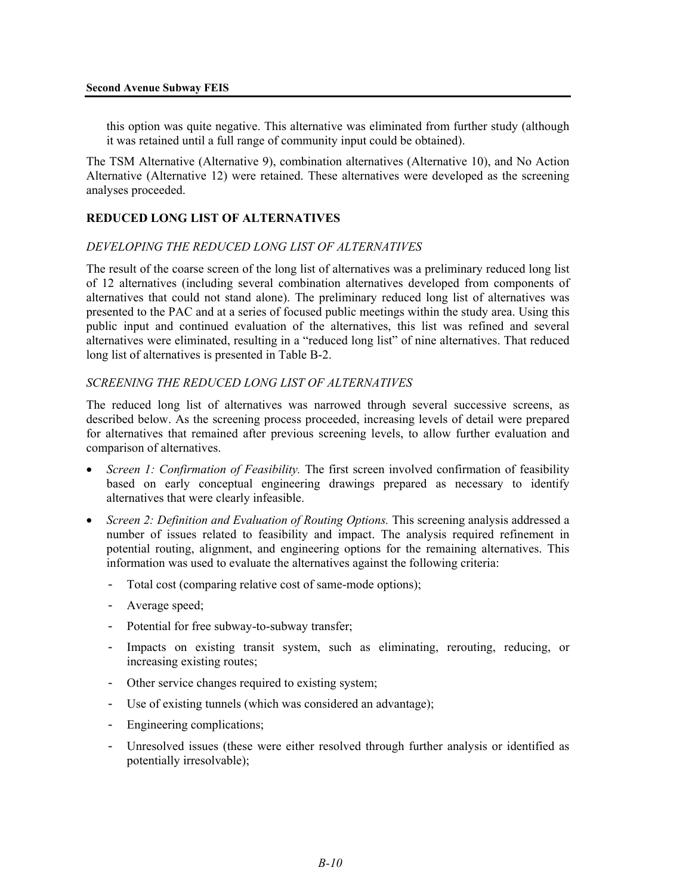this option was quite negative. This alternative was eliminated from further study (although it was retained until a full range of community input could be obtained).

The TSM Alternative (Alternative 9), combination alternatives (Alternative 10), and No Action Alternative (Alternative 12) were retained. These alternatives were developed as the screening analyses proceeded.

# **REDUCED LONG LIST OF ALTERNATIVES**

#### *DEVELOPING THE REDUCED LONG LIST OF ALTERNATIVES*

The result of the coarse screen of the long list of alternatives was a preliminary reduced long list of 12 alternatives (including several combination alternatives developed from components of alternatives that could not stand alone). The preliminary reduced long list of alternatives was presented to the PAC and at a series of focused public meetings within the study area. Using this public input and continued evaluation of the alternatives, this list was refined and several alternatives were eliminated, resulting in a "reduced long list" of nine alternatives. That reduced long list of alternatives is presented in Table B-2.

### *SCREENING THE REDUCED LONG LIST OF ALTERNATIVES*

The reduced long list of alternatives was narrowed through several successive screens, as described below. As the screening process proceeded, increasing levels of detail were prepared for alternatives that remained after previous screening levels, to allow further evaluation and comparison of alternatives.

- *Screen 1: Confirmation of Feasibility.* The first screen involved confirmation of feasibility based on early conceptual engineering drawings prepared as necessary to identify alternatives that were clearly infeasible.
- *Screen 2: Definition and Evaluation of Routing Options.* This screening analysis addressed a number of issues related to feasibility and impact. The analysis required refinement in potential routing, alignment, and engineering options for the remaining alternatives. This information was used to evaluate the alternatives against the following criteria:
	- Total cost (comparing relative cost of same-mode options);
	- Average speed;
	- Potential for free subway-to-subway transfer;
	- Impacts on existing transit system, such as eliminating, rerouting, reducing, or increasing existing routes;
	- Other service changes required to existing system;
	- Use of existing tunnels (which was considered an advantage);
	- Engineering complications;
	- Unresolved issues (these were either resolved through further analysis or identified as potentially irresolvable);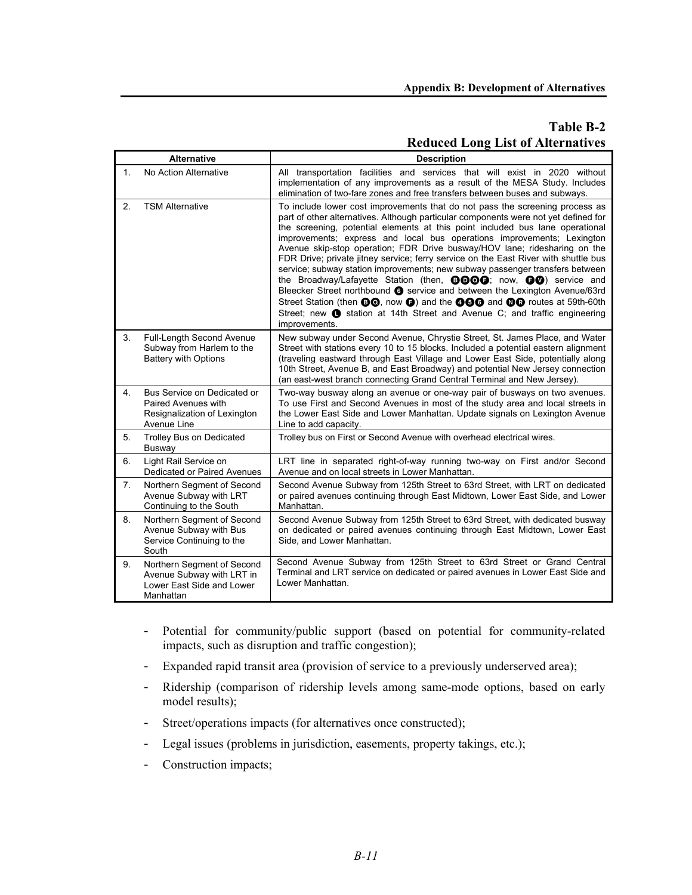# **Table B-2 Reduced Long List of Alternatives**

|    | <b>Alternative</b>                                                                                | <b>Description</b>                                                                                                                                                                                                                                                                                                                                                                                                                                                                                                                                                                                                                                                                                                                                                                                                                                                                                                                                          |
|----|---------------------------------------------------------------------------------------------------|-------------------------------------------------------------------------------------------------------------------------------------------------------------------------------------------------------------------------------------------------------------------------------------------------------------------------------------------------------------------------------------------------------------------------------------------------------------------------------------------------------------------------------------------------------------------------------------------------------------------------------------------------------------------------------------------------------------------------------------------------------------------------------------------------------------------------------------------------------------------------------------------------------------------------------------------------------------|
| 1. | No Action Alternative                                                                             | All transportation facilities and services that will exist in 2020 without<br>implementation of any improvements as a result of the MESA Study. Includes<br>elimination of two-fare zones and free transfers between buses and subways.                                                                                                                                                                                                                                                                                                                                                                                                                                                                                                                                                                                                                                                                                                                     |
| 2. | <b>TSM Alternative</b>                                                                            | To include lower cost improvements that do not pass the screening process as<br>part of other alternatives. Although particular components were not yet defined for<br>the screening, potential elements at this point included bus lane operational<br>improvements; express and local bus operations improvements; Lexington<br>Avenue skip-stop operation; FDR Drive busway/HOV lane; ridesharing on the<br>FDR Drive; private jitney service; ferry service on the East River with shuttle bus<br>service; subway station improvements; new subway passenger transfers between<br>the Broadway/Lafayette Station (then, <b>DDOG</b> ); now, <b>DO</b> ) service and<br>Bleecker Street northbound <b>@</b> service and between the Lexington Avenue/63rd<br>Street Station (then <b>@@</b> , now <b>@)</b> and the @@@ and @@ routes at 59th-60th<br>Street; new <b>O</b> station at 14th Street and Avenue C; and traffic engineering<br>improvements. |
| 3. | <b>Full-Length Second Avenue</b><br>Subway from Harlem to the<br><b>Battery with Options</b>      | New subway under Second Avenue, Chrystie Street, St. James Place, and Water<br>Street with stations every 10 to 15 blocks. Included a potential eastern alignment<br>(traveling eastward through East Village and Lower East Side, potentially along<br>10th Street, Avenue B, and East Broadway) and potential New Jersey connection<br>(an east-west branch connecting Grand Central Terminal and New Jersey).                                                                                                                                                                                                                                                                                                                                                                                                                                                                                                                                            |
| 4. | Bus Service on Dedicated or<br>Paired Avenues with<br>Resignalization of Lexington<br>Avenue Line | Two-way busway along an avenue or one-way pair of busways on two avenues.<br>To use First and Second Avenues in most of the study area and local streets in<br>the Lower East Side and Lower Manhattan. Update signals on Lexington Avenue<br>Line to add capacity.                                                                                                                                                                                                                                                                                                                                                                                                                                                                                                                                                                                                                                                                                         |
| 5. | Trolley Bus on Dedicated<br>Busway                                                                | Trolley bus on First or Second Avenue with overhead electrical wires.                                                                                                                                                                                                                                                                                                                                                                                                                                                                                                                                                                                                                                                                                                                                                                                                                                                                                       |
| 6. | Light Rail Service on<br>Dedicated or Paired Avenues                                              | LRT line in separated right-of-way running two-way on First and/or Second<br>Avenue and on local streets in Lower Manhattan.                                                                                                                                                                                                                                                                                                                                                                                                                                                                                                                                                                                                                                                                                                                                                                                                                                |
| 7. | Northern Segment of Second<br>Avenue Subway with LRT<br>Continuing to the South                   | Second Avenue Subway from 125th Street to 63rd Street, with LRT on dedicated<br>or paired avenues continuing through East Midtown, Lower East Side, and Lower<br>Manhattan.                                                                                                                                                                                                                                                                                                                                                                                                                                                                                                                                                                                                                                                                                                                                                                                 |
| 8. | Northern Segment of Second<br>Avenue Subway with Bus<br>Service Continuing to the<br>South        | Second Avenue Subway from 125th Street to 63rd Street, with dedicated busway<br>on dedicated or paired avenues continuing through East Midtown, Lower East<br>Side, and Lower Manhattan.                                                                                                                                                                                                                                                                                                                                                                                                                                                                                                                                                                                                                                                                                                                                                                    |
| 9. | Northern Segment of Second<br>Avenue Subway with LRT in<br>Lower East Side and Lower<br>Manhattan | Second Avenue Subway from 125th Street to 63rd Street or Grand Central<br>Terminal and LRT service on dedicated or paired avenues in Lower East Side and<br>Lower Manhattan.                                                                                                                                                                                                                                                                                                                                                                                                                                                                                                                                                                                                                                                                                                                                                                                |

- Potential for community/public support (based on potential for community-related impacts, such as disruption and traffic congestion);
- Expanded rapid transit area (provision of service to a previously underserved area);
- Ridership (comparison of ridership levels among same-mode options, based on early model results);
- Street/operations impacts (for alternatives once constructed);
- Legal issues (problems in jurisdiction, easements, property takings, etc.);
- Construction impacts;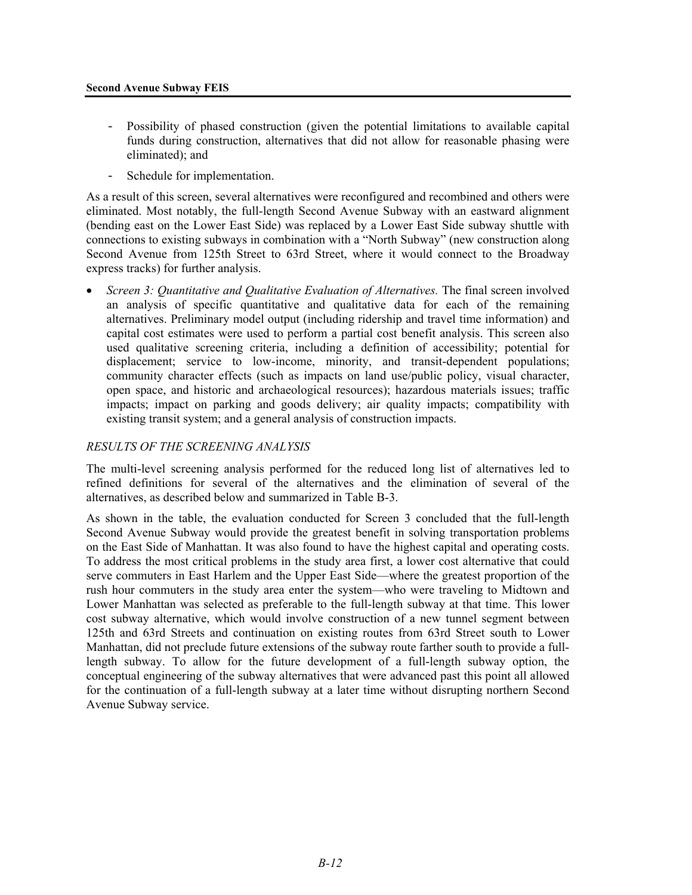- Possibility of phased construction (given the potential limitations to available capital funds during construction, alternatives that did not allow for reasonable phasing were eliminated); and
- Schedule for implementation.

As a result of this screen, several alternatives were reconfigured and recombined and others were eliminated. Most notably, the full-length Second Avenue Subway with an eastward alignment (bending east on the Lower East Side) was replaced by a Lower East Side subway shuttle with connections to existing subways in combination with a "North Subway" (new construction along Second Avenue from 125th Street to 63rd Street, where it would connect to the Broadway express tracks) for further analysis.

• *Screen 3: Quantitative and Qualitative Evaluation of Alternatives.* The final screen involved an analysis of specific quantitative and qualitative data for each of the remaining alternatives. Preliminary model output (including ridership and travel time information) and capital cost estimates were used to perform a partial cost benefit analysis. This screen also used qualitative screening criteria, including a definition of accessibility; potential for displacement; service to low-income, minority, and transit-dependent populations; community character effects (such as impacts on land use/public policy, visual character, open space, and historic and archaeological resources); hazardous materials issues; traffic impacts; impact on parking and goods delivery; air quality impacts; compatibility with existing transit system; and a general analysis of construction impacts.

# *RESULTS OF THE SCREENING ANALYSIS*

The multi-level screening analysis performed for the reduced long list of alternatives led to refined definitions for several of the alternatives and the elimination of several of the alternatives, as described below and summarized in Table B-3.

As shown in the table, the evaluation conducted for Screen 3 concluded that the full-length Second Avenue Subway would provide the greatest benefit in solving transportation problems on the East Side of Manhattan. It was also found to have the highest capital and operating costs. To address the most critical problems in the study area first, a lower cost alternative that could serve commuters in East Harlem and the Upper East Side—where the greatest proportion of the rush hour commuters in the study area enter the system—who were traveling to Midtown and Lower Manhattan was selected as preferable to the full-length subway at that time. This lower cost subway alternative, which would involve construction of a new tunnel segment between 125th and 63rd Streets and continuation on existing routes from 63rd Street south to Lower Manhattan, did not preclude future extensions of the subway route farther south to provide a fulllength subway. To allow for the future development of a full-length subway option, the conceptual engineering of the subway alternatives that were advanced past this point all allowed for the continuation of a full-length subway at a later time without disrupting northern Second Avenue Subway service.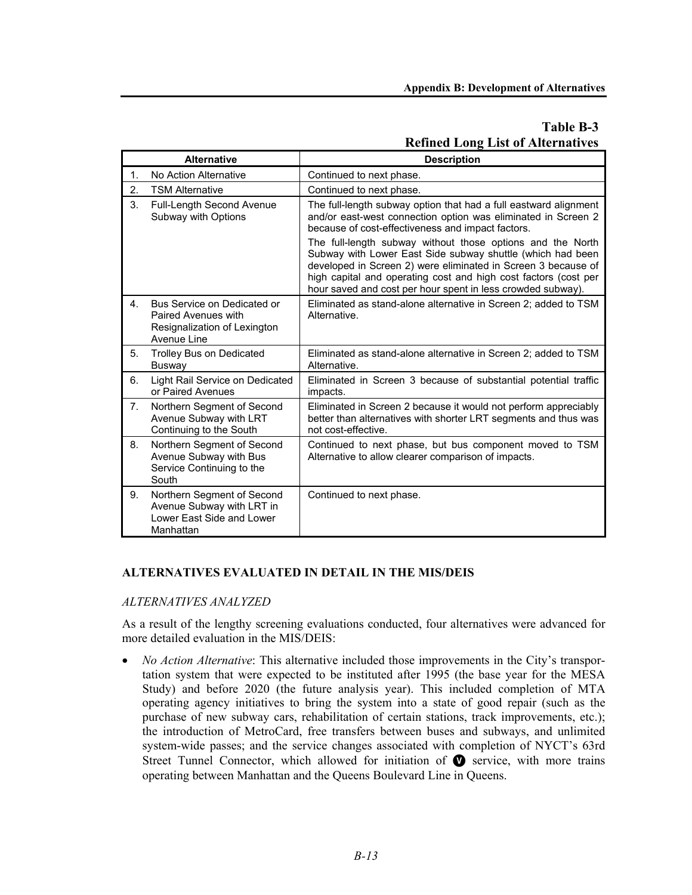# **Table B-3 Refined Long List of Alternatives**

|                | <b>Alternative</b>                                                                                | <b>Description</b>                                                                                                                                                                                                                                                                                                                                                                                                                                                                                                    |
|----------------|---------------------------------------------------------------------------------------------------|-----------------------------------------------------------------------------------------------------------------------------------------------------------------------------------------------------------------------------------------------------------------------------------------------------------------------------------------------------------------------------------------------------------------------------------------------------------------------------------------------------------------------|
| 1.             | No Action Alternative                                                                             | Continued to next phase.                                                                                                                                                                                                                                                                                                                                                                                                                                                                                              |
| 2.             | <b>TSM Alternative</b>                                                                            | Continued to next phase.                                                                                                                                                                                                                                                                                                                                                                                                                                                                                              |
| 3.             | Full-Length Second Avenue<br>Subway with Options                                                  | The full-length subway option that had a full eastward alignment<br>and/or east-west connection option was eliminated in Screen 2<br>because of cost-effectiveness and impact factors.<br>The full-length subway without those options and the North<br>Subway with Lower East Side subway shuttle (which had been<br>developed in Screen 2) were eliminated in Screen 3 because of<br>high capital and operating cost and high cost factors (cost per<br>hour saved and cost per hour spent in less crowded subway). |
| 4.             | Bus Service on Dedicated or<br>Paired Avenues with<br>Resignalization of Lexington<br>Avenue Line | Eliminated as stand-alone alternative in Screen 2; added to TSM<br>Alternative.                                                                                                                                                                                                                                                                                                                                                                                                                                       |
| 5.             | <b>Trolley Bus on Dedicated</b><br><b>Busway</b>                                                  | Eliminated as stand-alone alternative in Screen 2; added to TSM<br>Alternative.                                                                                                                                                                                                                                                                                                                                                                                                                                       |
| 6.             | Light Rail Service on Dedicated<br>or Paired Avenues                                              | Eliminated in Screen 3 because of substantial potential traffic<br>impacts.                                                                                                                                                                                                                                                                                                                                                                                                                                           |
| 7 <sub>1</sub> | Northern Segment of Second<br>Avenue Subway with LRT<br>Continuing to the South                   | Eliminated in Screen 2 because it would not perform appreciably<br>better than alternatives with shorter LRT segments and thus was<br>not cost-effective.                                                                                                                                                                                                                                                                                                                                                             |
| 8.             | Northern Segment of Second<br>Avenue Subway with Bus<br>Service Continuing to the<br>South        | Continued to next phase, but bus component moved to TSM<br>Alternative to allow clearer comparison of impacts.                                                                                                                                                                                                                                                                                                                                                                                                        |
| 9.             | Northern Segment of Second<br>Avenue Subway with LRT in<br>Lower East Side and Lower<br>Manhattan | Continued to next phase.                                                                                                                                                                                                                                                                                                                                                                                                                                                                                              |

### **ALTERNATIVES EVALUATED IN DETAIL IN THE MIS/DEIS**

### *ALTERNATIVES ANALYZED*

As a result of the lengthy screening evaluations conducted, four alternatives were advanced for more detailed evaluation in the MIS/DEIS:

• *No Action Alternative*: This alternative included those improvements in the City's transportation system that were expected to be instituted after 1995 (the base year for the MESA Study) and before 2020 (the future analysis year). This included completion of MTA operating agency initiatives to bring the system into a state of good repair (such as the purchase of new subway cars, rehabilitation of certain stations, track improvements, etc.); the introduction of MetroCard, free transfers between buses and subways, and unlimited system-wide passes; and the service changes associated with completion of NYCT's 63rd Street Tunnel Connector, which allowed for initiation of  $\bullet$  service, with more trains operating between Manhattan and the Queens Boulevard Line in Queens.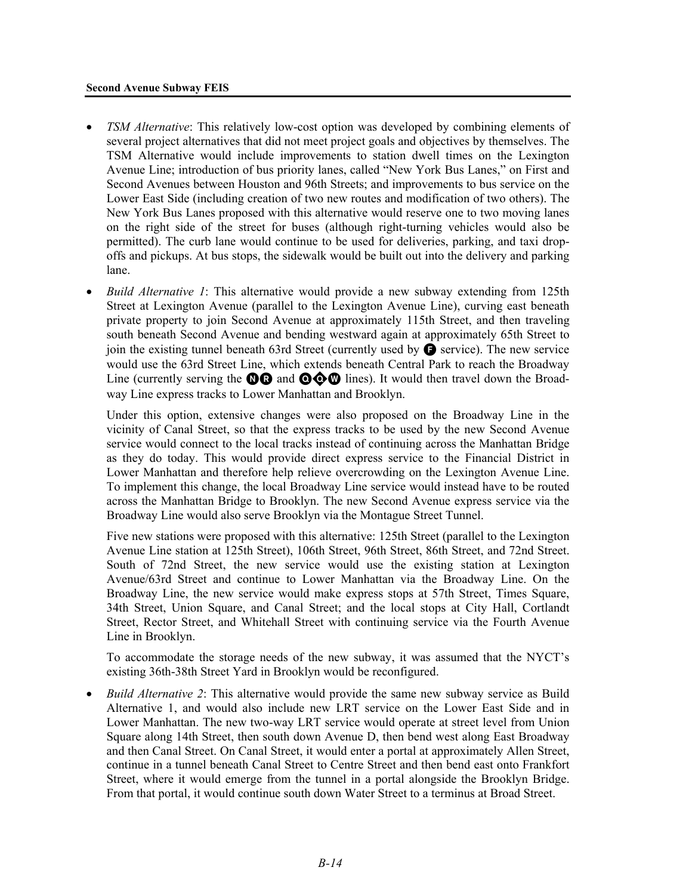#### **Second Avenue Subway FEIS**

- *TSM Alternative*: This relatively low-cost option was developed by combining elements of several project alternatives that did not meet project goals and objectives by themselves. The TSM Alternative would include improvements to station dwell times on the Lexington Avenue Line; introduction of bus priority lanes, called "New York Bus Lanes," on First and Second Avenues between Houston and 96th Streets; and improvements to bus service on the Lower East Side (including creation of two new routes and modification of two others). The New York Bus Lanes proposed with this alternative would reserve one to two moving lanes on the right side of the street for buses (although right-turning vehicles would also be permitted). The curb lane would continue to be used for deliveries, parking, and taxi dropoffs and pickups. At bus stops, the sidewalk would be built out into the delivery and parking lane.
- *Build Alternative 1*: This alternative would provide a new subway extending from 125th Street at Lexington Avenue (parallel to the Lexington Avenue Line), curving east beneath private property to join Second Avenue at approximately 115th Street, and then traveling south beneath Second Avenue and bending westward again at approximately 65th Street to join the existing tunnel beneath 63rd Street (currently used by  $\bigodot$  service). The new service would use the 63rd Street Line, which extends beneath Central Park to reach the Broadway Line (currently serving the  $\mathbf{\odot} \mathbf{\odot} \mathbf{\odot} \mathbf{\odot} \mathbf{\odot} \mathbf{\odot}$  lines). It would then travel down the Broadway Line express tracks to Lower Manhattan and Brooklyn.

Under this option, extensive changes were also proposed on the Broadway Line in the vicinity of Canal Street, so that the express tracks to be used by the new Second Avenue service would connect to the local tracks instead of continuing across the Manhattan Bridge as they do today. This would provide direct express service to the Financial District in Lower Manhattan and therefore help relieve overcrowding on the Lexington Avenue Line. To implement this change, the local Broadway Line service would instead have to be routed across the Manhattan Bridge to Brooklyn. The new Second Avenue express service via the Broadway Line would also serve Brooklyn via the Montague Street Tunnel.

Five new stations were proposed with this alternative: 125th Street (parallel to the Lexington Avenue Line station at 125th Street), 106th Street, 96th Street, 86th Street, and 72nd Street. South of 72nd Street, the new service would use the existing station at Lexington Avenue/63rd Street and continue to Lower Manhattan via the Broadway Line. On the Broadway Line, the new service would make express stops at 57th Street, Times Square, 34th Street, Union Square, and Canal Street; and the local stops at City Hall, Cortlandt Street, Rector Street, and Whitehall Street with continuing service via the Fourth Avenue Line in Brooklyn.

To accommodate the storage needs of the new subway, it was assumed that the NYCT's existing 36th-38th Street Yard in Brooklyn would be reconfigured.

• *Build Alternative 2*: This alternative would provide the same new subway service as Build Alternative 1, and would also include new LRT service on the Lower East Side and in Lower Manhattan. The new two-way LRT service would operate at street level from Union Square along 14th Street, then south down Avenue D, then bend west along East Broadway and then Canal Street. On Canal Street, it would enter a portal at approximately Allen Street, continue in a tunnel beneath Canal Street to Centre Street and then bend east onto Frankfort Street, where it would emerge from the tunnel in a portal alongside the Brooklyn Bridge. From that portal, it would continue south down Water Street to a terminus at Broad Street.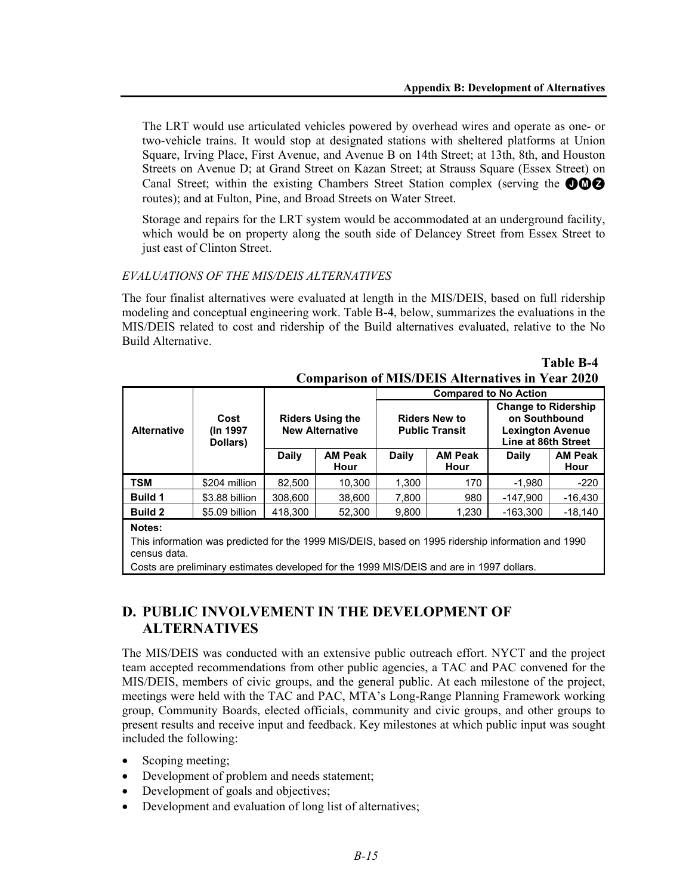The LRT would use articulated vehicles powered by overhead wires and operate as one- or two-vehicle trains. It would stop at designated stations with sheltered platforms at Union Square, Irving Place, First Avenue, and Avenue B on 14th Street; at 13th, 8th, and Houston Streets on Avenue D; at Grand Street on Kazan Street; at Strauss Square (Essex Street) on Canal Street; within the existing Chambers Street Station complex (serving the  $\bigcirc \bigcirc$ routes); and at Fulton, Pine, and Broad Streets on Water Street.

Storage and repairs for the LRT system would be accommodated at an underground facility, which would be on property along the south side of Delancey Street from Essex Street to just east of Clinton Street.

# *EVALUATIONS OF THE MIS/DEIS ALTERNATIVES*

The four finalist alternatives were evaluated at length in the MIS/DEIS, based on full ridership modeling and conceptual engineering work. Table B-4, below, summarizes the evaluations in the MIS/DEIS related to cost and ridership of the Build alternatives evaluated, relative to the No Build Alternative.

|                                                                                                                    |                               |                                                   |                        | <b>Compared to No Action</b>                  |                        |                                                                                               |                        |
|--------------------------------------------------------------------------------------------------------------------|-------------------------------|---------------------------------------------------|------------------------|-----------------------------------------------|------------------------|-----------------------------------------------------------------------------------------------|------------------------|
| <b>Alternative</b>                                                                                                 | Cost<br>(In 1997)<br>Dollars) | <b>Riders Using the</b><br><b>New Alternative</b> |                        | <b>Riders New to</b><br><b>Public Transit</b> |                        | <b>Change to Ridership</b><br>on Southbound<br><b>Lexington Avenue</b><br>Line at 86th Street |                        |
|                                                                                                                    |                               | <b>Daily</b>                                      | <b>AM Peak</b><br>Hour | <b>Daily</b>                                  | <b>AM Peak</b><br>Hour | <b>Daily</b>                                                                                  | <b>AM Peak</b><br>Hour |
| <b>TSM</b>                                                                                                         | \$204 million                 | 82.500                                            | 10.300                 | 1.300                                         | 170                    | $-1.980$                                                                                      | $-220$                 |
| <b>Build 1</b>                                                                                                     | \$3.88 billion                | 308,600                                           | 38.600                 | 7,800                                         | 980                    | -147.900                                                                                      | $-16,430$              |
| <b>Build 2</b>                                                                                                     | \$5.09 billion                | 418.300                                           | 52,300                 | 9,800                                         | 1,230                  | $-163,300$                                                                                    | $-18.140$              |
| Notes:                                                                                                             |                               |                                                   |                        |                                               |                        |                                                                                               |                        |
| This information was predicted for the 1999 MIS/DEIS, based on 1995 ridership information and 1990<br>census data. |                               |                                                   |                        |                                               |                        |                                                                                               |                        |

#### **Table B-4 Comparison of MIS/DEIS Alternatives in Year 2020**

Costs are preliminary estimates developed for the 1999 MIS/DEIS and are in 1997 dollars.

# **D. PUBLIC INVOLVEMENT IN THE DEVELOPMENT OF ALTERNATIVES**

The MIS/DEIS was conducted with an extensive public outreach effort. NYCT and the project team accepted recommendations from other public agencies, a TAC and PAC convened for the MIS/DEIS, members of civic groups, and the general public. At each milestone of the project, meetings were held with the TAC and PAC, MTA's Long-Range Planning Framework working group, Community Boards, elected officials, community and civic groups, and other groups to present results and receive input and feedback. Key milestones at which public input was sought included the following:

- Scoping meeting;
- Development of problem and needs statement;
- Development of goals and objectives;
- Development and evaluation of long list of alternatives;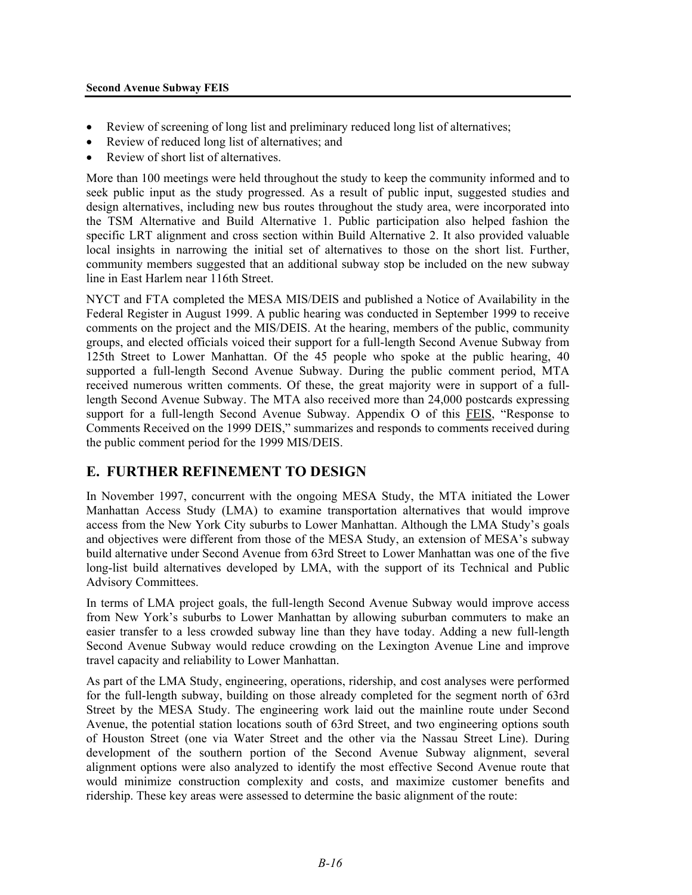#### **Second Avenue Subway FEIS**

- Review of screening of long list and preliminary reduced long list of alternatives;
- Review of reduced long list of alternatives; and
- Review of short list of alternatives.

More than 100 meetings were held throughout the study to keep the community informed and to seek public input as the study progressed. As a result of public input, suggested studies and design alternatives, including new bus routes throughout the study area, were incorporated into the TSM Alternative and Build Alternative 1. Public participation also helped fashion the specific LRT alignment and cross section within Build Alternative 2. It also provided valuable local insights in narrowing the initial set of alternatives to those on the short list. Further, community members suggested that an additional subway stop be included on the new subway line in East Harlem near 116th Street.

NYCT and FTA completed the MESA MIS/DEIS and published a Notice of Availability in the Federal Register in August 1999. A public hearing was conducted in September 1999 to receive comments on the project and the MIS/DEIS. At the hearing, members of the public, community groups, and elected officials voiced their support for a full-length Second Avenue Subway from 125th Street to Lower Manhattan. Of the 45 people who spoke at the public hearing, 40 supported a full-length Second Avenue Subway. During the public comment period, MTA received numerous written comments. Of these, the great majority were in support of a fulllength Second Avenue Subway. The MTA also received more than 24,000 postcards expressing support for a full-length Second Avenue Subway. Appendix O of this FEIS, "Response to Comments Received on the 1999 DEIS," summarizes and responds to comments received during the public comment period for the 1999 MIS/DEIS.

# **E. FURTHER REFINEMENT TO DESIGN**

In November 1997, concurrent with the ongoing MESA Study, the MTA initiated the Lower Manhattan Access Study (LMA) to examine transportation alternatives that would improve access from the New York City suburbs to Lower Manhattan. Although the LMA Study's goals and objectives were different from those of the MESA Study, an extension of MESA's subway build alternative under Second Avenue from 63rd Street to Lower Manhattan was one of the five long-list build alternatives developed by LMA, with the support of its Technical and Public Advisory Committees.

In terms of LMA project goals, the full-length Second Avenue Subway would improve access from New York's suburbs to Lower Manhattan by allowing suburban commuters to make an easier transfer to a less crowded subway line than they have today. Adding a new full-length Second Avenue Subway would reduce crowding on the Lexington Avenue Line and improve travel capacity and reliability to Lower Manhattan.

As part of the LMA Study, engineering, operations, ridership, and cost analyses were performed for the full-length subway, building on those already completed for the segment north of 63rd Street by the MESA Study. The engineering work laid out the mainline route under Second Avenue, the potential station locations south of 63rd Street, and two engineering options south of Houston Street (one via Water Street and the other via the Nassau Street Line). During development of the southern portion of the Second Avenue Subway alignment, several alignment options were also analyzed to identify the most effective Second Avenue route that would minimize construction complexity and costs, and maximize customer benefits and ridership. These key areas were assessed to determine the basic alignment of the route: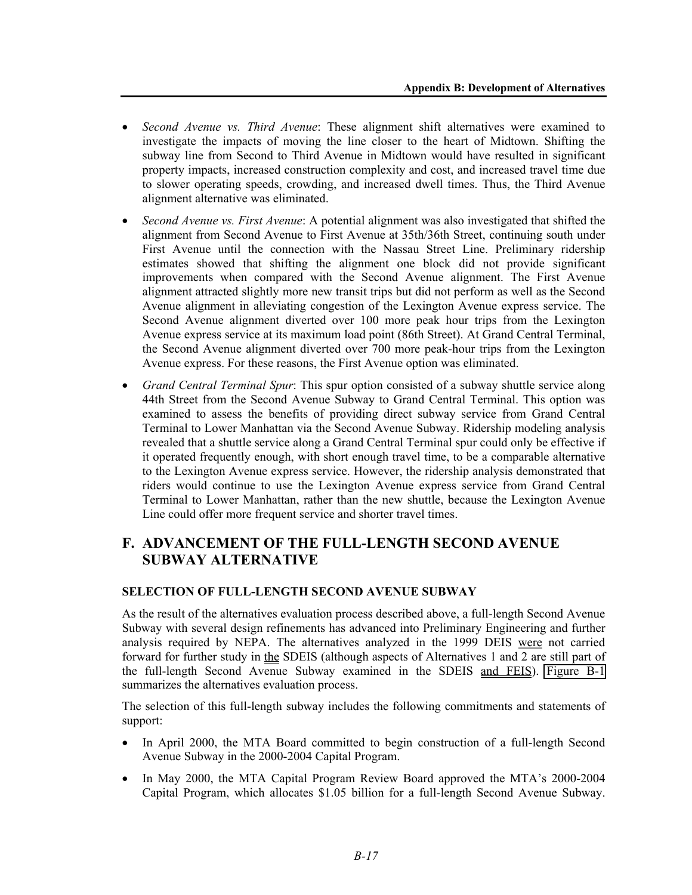- *Second Avenue vs. Third Avenue*: These alignment shift alternatives were examined to investigate the impacts of moving the line closer to the heart of Midtown. Shifting the subway line from Second to Third Avenue in Midtown would have resulted in significant property impacts, increased construction complexity and cost, and increased travel time due to slower operating speeds, crowding, and increased dwell times. Thus, the Third Avenue alignment alternative was eliminated.
- *Second Avenue vs. First Avenue*: A potential alignment was also investigated that shifted the alignment from Second Avenue to First Avenue at 35th/36th Street, continuing south under First Avenue until the connection with the Nassau Street Line. Preliminary ridership estimates showed that shifting the alignment one block did not provide significant improvements when compared with the Second Avenue alignment. The First Avenue alignment attracted slightly more new transit trips but did not perform as well as the Second Avenue alignment in alleviating congestion of the Lexington Avenue express service. The Second Avenue alignment diverted over 100 more peak hour trips from the Lexington Avenue express service at its maximum load point (86th Street). At Grand Central Terminal, the Second Avenue alignment diverted over 700 more peak-hour trips from the Lexington Avenue express. For these reasons, the First Avenue option was eliminated.
- *Grand Central Terminal Spur*: This spur option consisted of a subway shuttle service along 44th Street from the Second Avenue Subway to Grand Central Terminal. This option was examined to assess the benefits of providing direct subway service from Grand Central Terminal to Lower Manhattan via the Second Avenue Subway. Ridership modeling analysis revealed that a shuttle service along a Grand Central Terminal spur could only be effective if it operated frequently enough, with short enough travel time, to be a comparable alternative to the Lexington Avenue express service. However, the ridership analysis demonstrated that riders would continue to use the Lexington Avenue express service from Grand Central Terminal to Lower Manhattan, rather than the new shuttle, because the Lexington Avenue Line could offer more frequent service and shorter travel times.

# **F. ADVANCEMENT OF THE FULL-LENGTH SECOND AVENUE SUBWAY ALTERNATIVE**

# **SELECTION OF FULL-LENGTH SECOND AVENUE SUBWAY**

As the result of the alternatives evaluation process described above, a full-length Second Avenue Subway with several design refinements has advanced into Preliminary Engineering and further analysis required by NEPA. The alternatives analyzed in the 1999 DEIS were not carried forward for further study in the SDEIS (although aspects of Alternatives 1 and 2 are still part of the full-length Second Avenue Subway examined in the SDEIS and FEIS). Figure B-1 summarizes the alternatives evaluation process.

The selection of this full-length subway includes the following commitments and statements of support:

- In April 2000, the MTA Board committed to begin construction of a full-length Second Avenue Subway in the 2000-2004 Capital Program.
- In May 2000, the MTA Capital Program Review Board approved the MTA's 2000-2004 Capital Program, which allocates \$1.05 billion for a full-length Second Avenue Subway.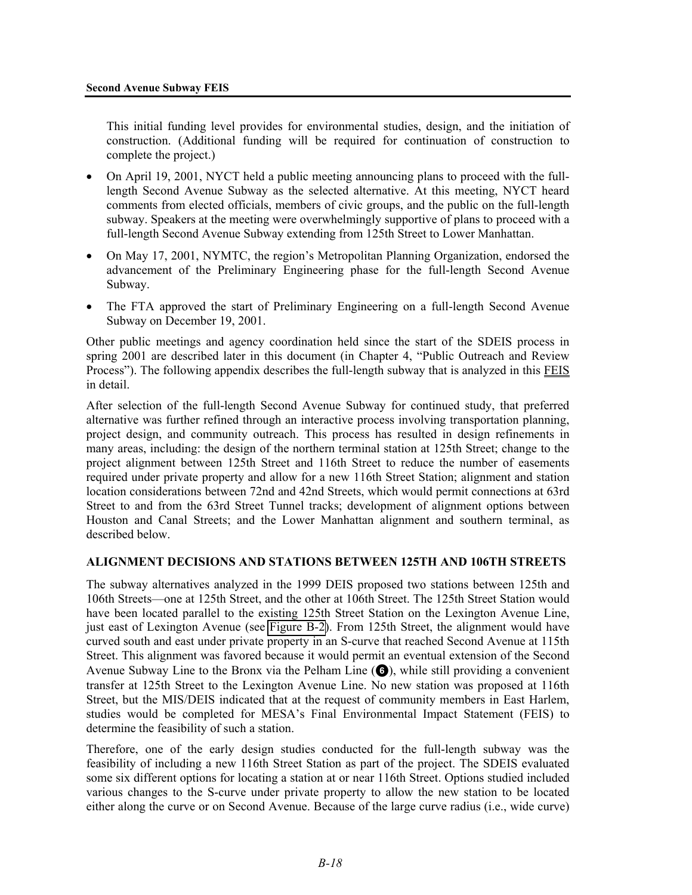This initial funding level provides for environmental studies, design, and the initiation of construction. (Additional funding will be required for continuation of construction to complete the project.)

- On April 19, 2001, NYCT held a public meeting announcing plans to proceed with the fulllength Second Avenue Subway as the selected alternative. At this meeting, NYCT heard comments from elected officials, members of civic groups, and the public on the full-length subway. Speakers at the meeting were overwhelmingly supportive of plans to proceed with a full-length Second Avenue Subway extending from 125th Street to Lower Manhattan.
- On May 17, 2001, NYMTC, the region's Metropolitan Planning Organization, endorsed the advancement of the Preliminary Engineering phase for the full-length Second Avenue Subway.
- The FTA approved the start of Preliminary Engineering on a full-length Second Avenue Subway on December 19, 2001.

Other public meetings and agency coordination held since the start of the SDEIS process in spring 2001 are described later in this document (in Chapter 4, "Public Outreach and Review Process"). The following appendix describes the full-length subway that is analyzed in this FEIS in detail.

After selection of the full-length Second Avenue Subway for continued study, that preferred alternative was further refined through an interactive process involving transportation planning, project design, and community outreach. This process has resulted in design refinements in many areas, including: the design of the northern terminal station at 125th Street; change to the project alignment between 125th Street and 116th Street to reduce the number of easements required under private property and allow for a new 116th Street Station; alignment and station location considerations between 72nd and 42nd Streets, which would permit connections at 63rd Street to and from the 63rd Street Tunnel tracks; development of alignment options between Houston and Canal Streets; and the Lower Manhattan alignment and southern terminal, as described below.

#### **ALIGNMENT DECISIONS AND STATIONS BETWEEN 125TH AND 106TH STREETS**

The subway alternatives analyzed in the 1999 DEIS proposed two stations between 125th and 106th Streets—one at 125th Street, and the other at 106th Street. The 125th Street Station would have been located parallel to the existing 125th Street Station on the Lexington Avenue Line, just east of Lexington Avenue (see Figure B-2). From 125th Street, the alignment would have curved south and east under private property in an S-curve that reached Second Avenue at 115th Street. This alignment was favored because it would permit an eventual extension of the Second Avenue Subway Line to the Bronx via the Pelham Line  $\left( \bigodot \right)$ , while still providing a convenient transfer at 125th Street to the Lexington Avenue Line. No new station was proposed at 116th Street, but the MIS/DEIS indicated that at the request of community members in East Harlem, studies would be completed for MESA's Final Environmental Impact Statement (FEIS) to determine the feasibility of such a station.

Therefore, one of the early design studies conducted for the full-length subway was the feasibility of including a new 116th Street Station as part of the project. The SDEIS evaluated some six different options for locating a station at or near 116th Street. Options studied included various changes to the S-curve under private property to allow the new station to be located either along the curve or on Second Avenue. Because of the large curve radius (i.e., wide curve)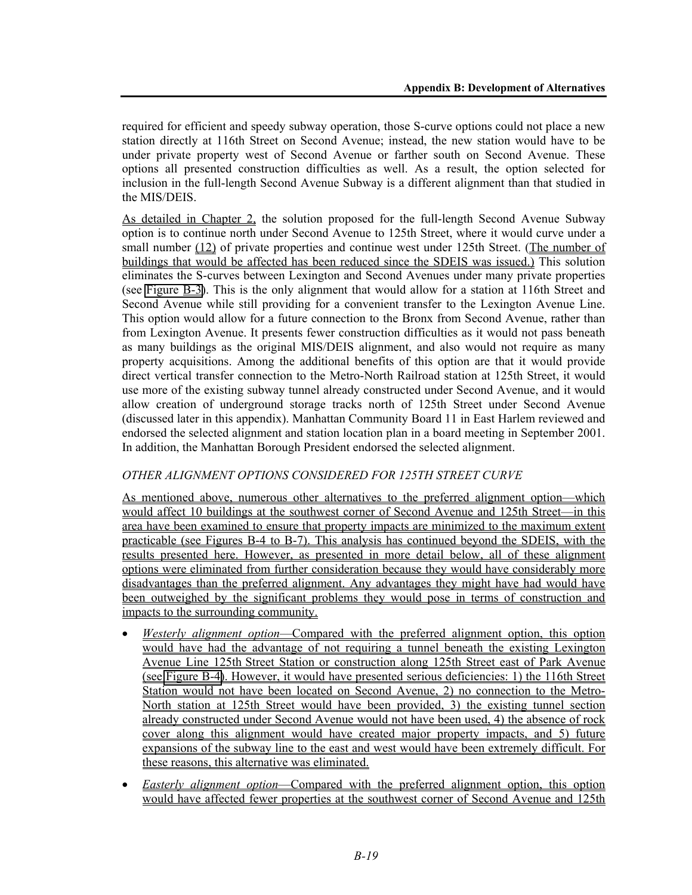required for efficient and speedy subway operation, those S-curve options could not place a new station directly at 116th Street on Second Avenue; instead, the new station would have to be under private property west of Second Avenue or farther south on Second Avenue. These options all presented construction difficulties as well. As a result, the option selected for inclusion in the full-length Second Avenue Subway is a different alignment than that studied in the MIS/DEIS.

As detailed in Chapter 2, the solution proposed for the full-length Second Avenue Subway option is to continue north under Second Avenue to 125th Street, where it would curve under a small number (12) of private properties and continue west under 125th Street. (The number of buildings that would be affected has been reduced since the SDEIS was issued.) This solution eliminates the S-curves between Lexington and Second Avenues under many private properties (see Figure B-3). This is the only alignment that would allow for a station at 116th Street and Second Avenue while still providing for a convenient transfer to the Lexington Avenue Line. This option would allow for a future connection to the Bronx from Second Avenue, rather than from Lexington Avenue. It presents fewer construction difficulties as it would not pass beneath as many buildings as the original MIS/DEIS alignment, and also would not require as many property acquisitions. Among the additional benefits of this option are that it would provide direct vertical transfer connection to the Metro-North Railroad station at 125th Street, it would use more of the existing subway tunnel already constructed under Second Avenue, and it would allow creation of underground storage tracks north of 125th Street under Second Avenue (discussed later in this appendix). Manhattan Community Board 11 in East Harlem reviewed and endorsed the selected alignment and station location plan in a board meeting in September 2001. In addition, the Manhattan Borough President endorsed the selected alignment.

# *OTHER ALIGNMENT OPTIONS CONSIDERED FOR 125TH STREET CURVE*

As mentioned above, numerous other alternatives to the preferred alignment option—which would affect 10 buildings at the southwest corner of Second Avenue and 125th Street—in this area have been examined to ensure that property impacts are minimized to the maximum extent practicable (see Figures B-4 to B-7). This analysis has continued beyond the SDEIS, with the results presented here. However, as presented in more detail below, all of these alignment options were eliminated from further consideration because they would have considerably more disadvantages than the preferred alignment. Any advantages they might have had would have been outweighed by the significant problems they would pose in terms of construction and impacts to the surrounding community.

- *Westerly alignment option*—Compared with the preferred alignment option, this option would have had the advantage of not requiring a tunnel beneath the existing Lexington Avenue Line 125th Street Station or construction along 125th Street east of Park Avenue (see Figure B-4). However, it would have presented serious deficiencies: 1) the 116th Street Station would not have been located on Second Avenue, 2) no connection to the Metro-North station at 125th Street would have been provided, 3) the existing tunnel section already constructed under Second Avenue would not have been used, 4) the absence of rock cover along this alignment would have created major property impacts, and 5) future expansions of the subway line to the east and west would have been extremely difficult. For these reasons, this alternative was eliminated.
- *Easterly alignment option*—Compared with the preferred alignment option, this option would have affected fewer properties at the southwest corner of Second Avenue and 125th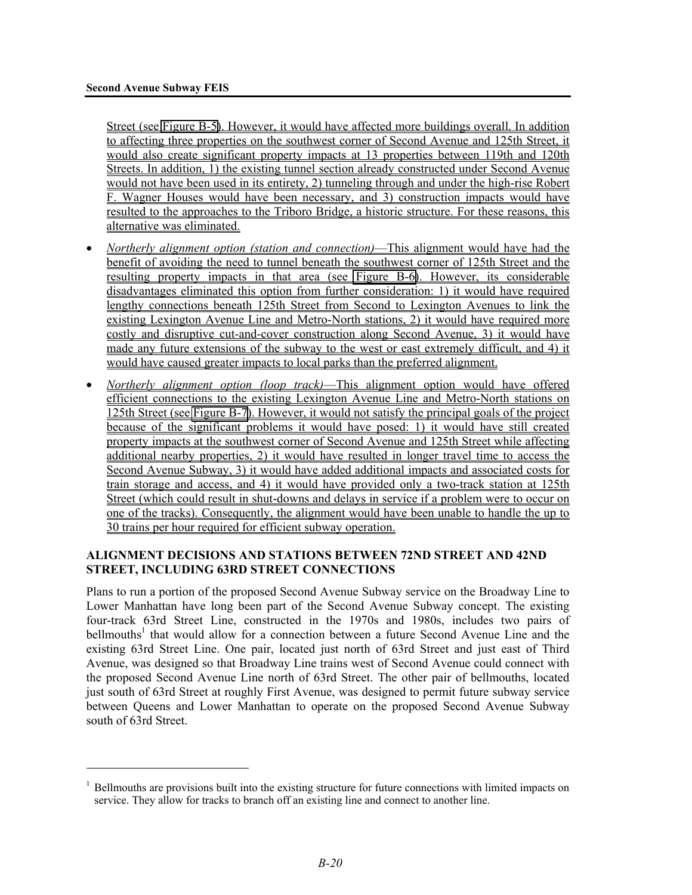<u>.</u>

Street (see Figure B-5). However, it would have affected more buildings overall. In addition to affecting three properties on the southwest corner of Second Avenue and 125th Street, it would also create significant property impacts at 13 properties between 119th and 120th Streets. In addition, 1) the existing tunnel section already constructed under Second Avenue would not have been used in its entirety, 2) tunneling through and under the high-rise Robert F. Wagner Houses would have been necessary, and 3) construction impacts would have resulted to the approaches to the Triboro Bridge, a historic structure. For these reasons, this alternative was eliminated.

- *Northerly alignment option (station and connection)*—This alignment would have had the benefit of avoiding the need to tunnel beneath the southwest corner of 125th Street and the resulting property impacts in that area (see Figure B-6). However, its considerable disadvantages eliminated this option from further consideration: 1) it would have required lengthy connections beneath 125th Street from Second to Lexington Avenues to link the existing Lexington Avenue Line and Metro-North stations, 2) it would have required more costly and disruptive cut-and-cover construction along Second Avenue, 3) it would have made any future extensions of the subway to the west or east extremely difficult, and 4) it would have caused greater impacts to local parks than the preferred alignment.
- *Northerly alignment option (loop track)*—This alignment option would have offered efficient connections to the existing Lexington Avenue Line and Metro-North stations on 125th Street (see Figure B-7). However, it would not satisfy the principal goals of the project because of the significant problems it would have posed: 1) it would have still created property impacts at the southwest corner of Second Avenue and 125th Street while affecting additional nearby properties, 2) it would have resulted in longer travel time to access the Second Avenue Subway, 3) it would have added additional impacts and associated costs for train storage and access, and 4) it would have provided only a two-track station at 125th Street (which could result in shut-downs and delays in service if a problem were to occur on one of the tracks). Consequently, the alignment would have been unable to handle the up to 30 trains per hour required for efficient subway operation.

# **ALIGNMENT DECISIONS AND STATIONS BETWEEN 72ND STREET AND 42ND STREET, INCLUDING 63RD STREET CONNECTIONS**

Plans to run a portion of the proposed Second Avenue Subway service on the Broadway Line to Lower Manhattan have long been part of the Second Avenue Subway concept. The existing four-track 63rd Street Line, constructed in the 1970s and 1980s, includes two pairs of bellmouths<sup>1</sup> that would allow for a connection between a future Second Avenue Line and the existing 63rd Street Line. One pair, located just north of 63rd Street and just east of Third Avenue, was designed so that Broadway Line trains west of Second Avenue could connect with the proposed Second Avenue Line north of 63rd Street. The other pair of bellmouths, located just south of 63rd Street at roughly First Avenue, was designed to permit future subway service between Queens and Lower Manhattan to operate on the proposed Second Avenue Subway south of 63rd Street.

<sup>&</sup>lt;sup>1</sup> Bellmouths are provisions built into the existing structure for future connections with limited impacts on service. They allow for tracks to branch off an existing line and connect to another line.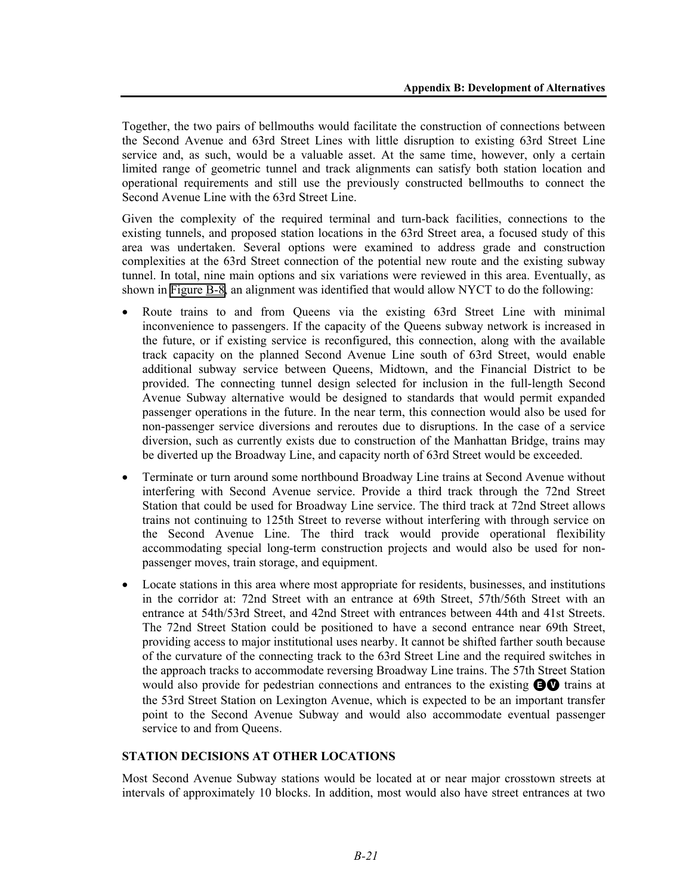Together, the two pairs of bellmouths would facilitate the construction of connections between the Second Avenue and 63rd Street Lines with little disruption to existing 63rd Street Line service and, as such, would be a valuable asset. At the same time, however, only a certain limited range of geometric tunnel and track alignments can satisfy both station location and operational requirements and still use the previously constructed bellmouths to connect the Second Avenue Line with the 63rd Street Line.

Given the complexity of the required terminal and turn-back facilities, connections to the existing tunnels, and proposed station locations in the 63rd Street area, a focused study of this area was undertaken. Several options were examined to address grade and construction complexities at the 63rd Street connection of the potential new route and the existing subway tunnel. In total, nine main options and six variations were reviewed in this area. Eventually, as shown in Figure B-8, an alignment was identified that would allow NYCT to do the following:

- Route trains to and from Queens via the existing 63rd Street Line with minimal inconvenience to passengers. If the capacity of the Queens subway network is increased in the future, or if existing service is reconfigured, this connection, along with the available track capacity on the planned Second Avenue Line south of 63rd Street, would enable additional subway service between Queens, Midtown, and the Financial District to be provided. The connecting tunnel design selected for inclusion in the full-length Second Avenue Subway alternative would be designed to standards that would permit expanded passenger operations in the future. In the near term, this connection would also be used for non-passenger service diversions and reroutes due to disruptions. In the case of a service diversion, such as currently exists due to construction of the Manhattan Bridge, trains may be diverted up the Broadway Line, and capacity north of 63rd Street would be exceeded.
- Terminate or turn around some northbound Broadway Line trains at Second Avenue without interfering with Second Avenue service. Provide a third track through the 72nd Street Station that could be used for Broadway Line service. The third track at 72nd Street allows trains not continuing to 125th Street to reverse without interfering with through service on the Second Avenue Line. The third track would provide operational flexibility accommodating special long-term construction projects and would also be used for nonpassenger moves, train storage, and equipment.
- Locate stations in this area where most appropriate for residents, businesses, and institutions in the corridor at: 72nd Street with an entrance at 69th Street, 57th/56th Street with an entrance at 54th/53rd Street, and 42nd Street with entrances between 44th and 41st Streets. The 72nd Street Station could be positioned to have a second entrance near 69th Street, providing access to major institutional uses nearby. It cannot be shifted farther south because of the curvature of the connecting track to the 63rd Street Line and the required switches in the approach tracks to accommodate reversing Broadway Line trains. The 57th Street Station would also provide for pedestrian connections and entrances to the existing  $\bigcirc$  trains at the 53rd Street Station on Lexington Avenue, which is expected to be an important transfer point to the Second Avenue Subway and would also accommodate eventual passenger service to and from Queens.

# **STATION DECISIONS AT OTHER LOCATIONS**

Most Second Avenue Subway stations would be located at or near major crosstown streets at intervals of approximately 10 blocks. In addition, most would also have street entrances at two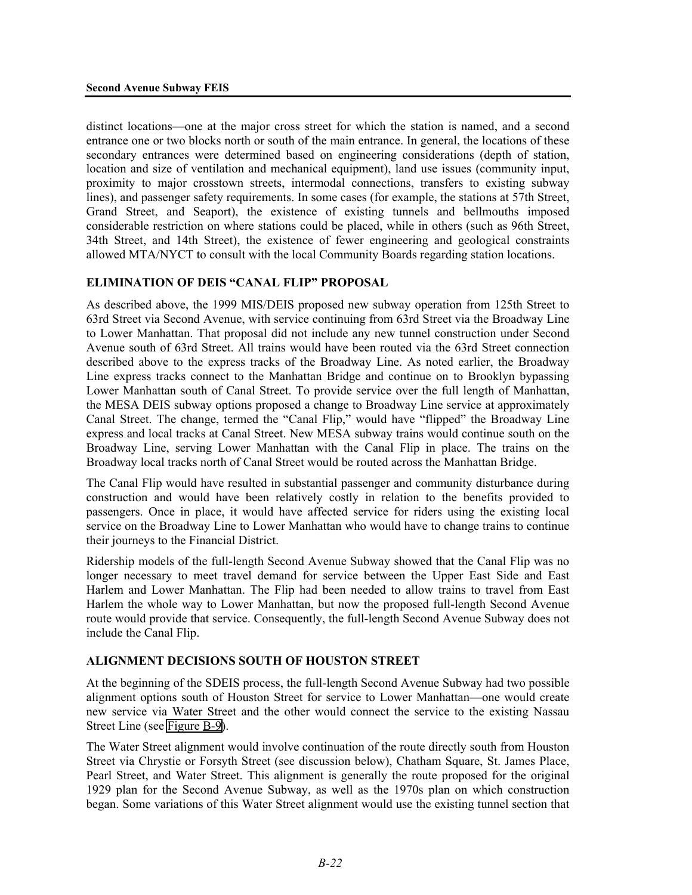distinct locations—one at the major cross street for which the station is named, and a second entrance one or two blocks north or south of the main entrance. In general, the locations of these secondary entrances were determined based on engineering considerations (depth of station, location and size of ventilation and mechanical equipment), land use issues (community input, proximity to major crosstown streets, intermodal connections, transfers to existing subway lines), and passenger safety requirements. In some cases (for example, the stations at 57th Street, Grand Street, and Seaport), the existence of existing tunnels and bellmouths imposed considerable restriction on where stations could be placed, while in others (such as 96th Street, 34th Street, and 14th Street), the existence of fewer engineering and geological constraints allowed MTA/NYCT to consult with the local Community Boards regarding station locations.

# **ELIMINATION OF DEIS "CANAL FLIP" PROPOSAL**

As described above, the 1999 MIS/DEIS proposed new subway operation from 125th Street to 63rd Street via Second Avenue, with service continuing from 63rd Street via the Broadway Line to Lower Manhattan. That proposal did not include any new tunnel construction under Second Avenue south of 63rd Street. All trains would have been routed via the 63rd Street connection described above to the express tracks of the Broadway Line. As noted earlier, the Broadway Line express tracks connect to the Manhattan Bridge and continue on to Brooklyn bypassing Lower Manhattan south of Canal Street. To provide service over the full length of Manhattan, the MESA DEIS subway options proposed a change to Broadway Line service at approximately Canal Street. The change, termed the "Canal Flip," would have "flipped" the Broadway Line express and local tracks at Canal Street. New MESA subway trains would continue south on the Broadway Line, serving Lower Manhattan with the Canal Flip in place. The trains on the Broadway local tracks north of Canal Street would be routed across the Manhattan Bridge.

The Canal Flip would have resulted in substantial passenger and community disturbance during construction and would have been relatively costly in relation to the benefits provided to passengers. Once in place, it would have affected service for riders using the existing local service on the Broadway Line to Lower Manhattan who would have to change trains to continue their journeys to the Financial District.

Ridership models of the full-length Second Avenue Subway showed that the Canal Flip was no longer necessary to meet travel demand for service between the Upper East Side and East Harlem and Lower Manhattan. The Flip had been needed to allow trains to travel from East Harlem the whole way to Lower Manhattan, but now the proposed full-length Second Avenue route would provide that service. Consequently, the full-length Second Avenue Subway does not include the Canal Flip.

### **ALIGNMENT DECISIONS SOUTH OF HOUSTON STREET**

At the beginning of the SDEIS process, the full-length Second Avenue Subway had two possible alignment options south of Houston Street for service to Lower Manhattan—one would create new service via Water Street and the other would connect the service to the existing Nassau Street Line (see Figure B-9).

The Water Street alignment would involve continuation of the route directly south from Houston Street via Chrystie or Forsyth Street (see discussion below), Chatham Square, St. James Place, Pearl Street, and Water Street. This alignment is generally the route proposed for the original 1929 plan for the Second Avenue Subway, as well as the 1970s plan on which construction began. Some variations of this Water Street alignment would use the existing tunnel section that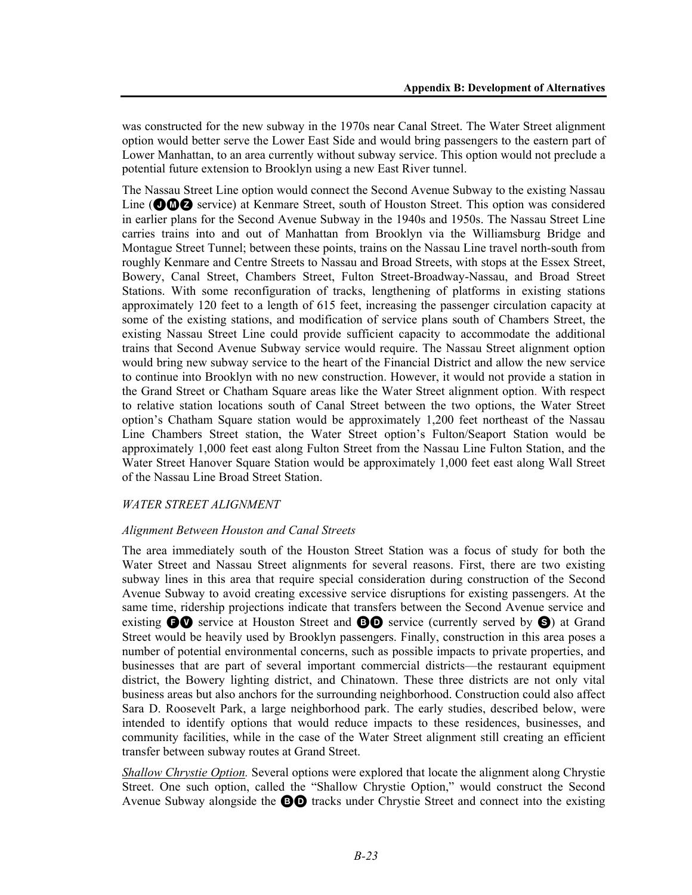was constructed for the new subway in the 1970s near Canal Street. The Water Street alignment option would better serve the Lower East Side and would bring passengers to the eastern part of Lower Manhattan, to an area currently without subway service. This option would not preclude a potential future extension to Brooklyn using a new East River tunnel.

The Nassau Street Line option would connect the Second Avenue Subway to the existing Nassau Line ( $\odot$  $\odot$  $\odot$  service) at Kenmare Street, south of Houston Street. This option was considered in earlier plans for the Second Avenue Subway in the 1940s and 1950s. The Nassau Street Line carries trains into and out of Manhattan from Brooklyn via the Williamsburg Bridge and Montague Street Tunnel; between these points, trains on the Nassau Line travel north-south from roughly Kenmare and Centre Streets to Nassau and Broad Streets, with stops at the Essex Street, Bowery, Canal Street, Chambers Street, Fulton Street-Broadway-Nassau, and Broad Street Stations. With some reconfiguration of tracks, lengthening of platforms in existing stations approximately 120 feet to a length of 615 feet, increasing the passenger circulation capacity at some of the existing stations, and modification of service plans south of Chambers Street, the existing Nassau Street Line could provide sufficient capacity to accommodate the additional trains that Second Avenue Subway service would require. The Nassau Street alignment option would bring new subway service to the heart of the Financial District and allow the new service to continue into Brooklyn with no new construction. However, it would not provide a station in the Grand Street or Chatham Square areas like the Water Street alignment option. With respect to relative station locations south of Canal Street between the two options, the Water Street option's Chatham Square station would be approximately 1,200 feet northeast of the Nassau Line Chambers Street station, the Water Street option's Fulton/Seaport Station would be approximately 1,000 feet east along Fulton Street from the Nassau Line Fulton Station, and the Water Street Hanover Square Station would be approximately 1,000 feet east along Wall Street of the Nassau Line Broad Street Station.

#### *WATER STREET ALIGNMENT*

#### *Alignment Between Houston and Canal Streets*

The area immediately south of the Houston Street Station was a focus of study for both the Water Street and Nassau Street alignments for several reasons. First, there are two existing subway lines in this area that require special consideration during construction of the Second Avenue Subway to avoid creating excessive service disruptions for existing passengers. At the same time, ridership projections indicate that transfers between the Second Avenue service and existing  $\bullet \bullet$  service at Houston Street and  $\bullet \bullet$  service (currently served by  $\bullet$ ) at Grand Street would be heavily used by Brooklyn passengers. Finally, construction in this area poses a number of potential environmental concerns, such as possible impacts to private properties, and businesses that are part of several important commercial districts—the restaurant equipment district, the Bowery lighting district, and Chinatown. These three districts are not only vital business areas but also anchors for the surrounding neighborhood. Construction could also affect Sara D. Roosevelt Park, a large neighborhood park. The early studies, described below, were intended to identify options that would reduce impacts to these residences, businesses, and community facilities, while in the case of the Water Street alignment still creating an efficient transfer between subway routes at Grand Street.

*Shallow Chrystie Option.* Several options were explored that locate the alignment along Chrystie Street. One such option, called the "Shallow Chrystie Option," would construct the Second Avenue Subway alongside the  $\Theta\Theta$  tracks under Chrystie Street and connect into the existing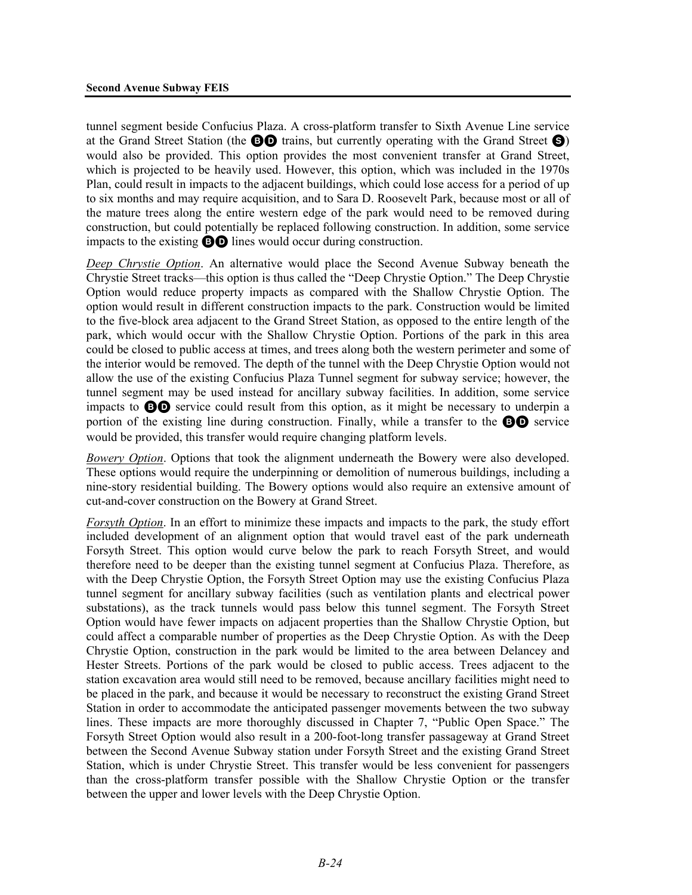tunnel segment beside Confucius Plaza. A cross-platform transfer to Sixth Avenue Line service at the Grand Street Station (the  $\Theta$ O trains, but currently operating with the Grand Street  $\Theta$ ) would also be provided. This option provides the most convenient transfer at Grand Street, which is projected to be heavily used. However, this option, which was included in the 1970s Plan, could result in impacts to the adjacent buildings, which could lose access for a period of up to six months and may require acquisition, and to Sara D. Roosevelt Park, because most or all of the mature trees along the entire western edge of the park would need to be removed during construction, but could potentially be replaced following construction. In addition, some service impacts to the existing BD lines would occur during construction.

*Deep Chrystie Option*. An alternative would place the Second Avenue Subway beneath the Chrystie Street tracks—this option is thus called the "Deep Chrystie Option." The Deep Chrystie Option would reduce property impacts as compared with the Shallow Chrystie Option. The option would result in different construction impacts to the park. Construction would be limited to the five-block area adjacent to the Grand Street Station, as opposed to the entire length of the park, which would occur with the Shallow Chrystie Option. Portions of the park in this area could be closed to public access at times, and trees along both the western perimeter and some of the interior would be removed. The depth of the tunnel with the Deep Chrystie Option would not allow the use of the existing Confucius Plaza Tunnel segment for subway service; however, the tunnel segment may be used instead for ancillary subway facilities. In addition, some service impacts to BD service could result from this option, as it might be necessary to underpin a portion of the existing line during construction. Finally, while a transfer to the **BD** service would be provided, this transfer would require changing platform levels.

*Bowery Option*. Options that took the alignment underneath the Bowery were also developed. These options would require the underpinning or demolition of numerous buildings, including a nine-story residential building. The Bowery options would also require an extensive amount of cut-and-cover construction on the Bowery at Grand Street.

*Forsyth Option*. In an effort to minimize these impacts and impacts to the park, the study effort included development of an alignment option that would travel east of the park underneath Forsyth Street. This option would curve below the park to reach Forsyth Street, and would therefore need to be deeper than the existing tunnel segment at Confucius Plaza. Therefore, as with the Deep Chrystie Option, the Forsyth Street Option may use the existing Confucius Plaza tunnel segment for ancillary subway facilities (such as ventilation plants and electrical power substations), as the track tunnels would pass below this tunnel segment. The Forsyth Street Option would have fewer impacts on adjacent properties than the Shallow Chrystie Option, but could affect a comparable number of properties as the Deep Chrystie Option. As with the Deep Chrystie Option, construction in the park would be limited to the area between Delancey and Hester Streets. Portions of the park would be closed to public access. Trees adjacent to the station excavation area would still need to be removed, because ancillary facilities might need to be placed in the park, and because it would be necessary to reconstruct the existing Grand Street Station in order to accommodate the anticipated passenger movements between the two subway lines. These impacts are more thoroughly discussed in Chapter 7, "Public Open Space." The Forsyth Street Option would also result in a 200-foot-long transfer passageway at Grand Street between the Second Avenue Subway station under Forsyth Street and the existing Grand Street Station, which is under Chrystie Street. This transfer would be less convenient for passengers than the cross-platform transfer possible with the Shallow Chrystie Option or the transfer between the upper and lower levels with the Deep Chrystie Option.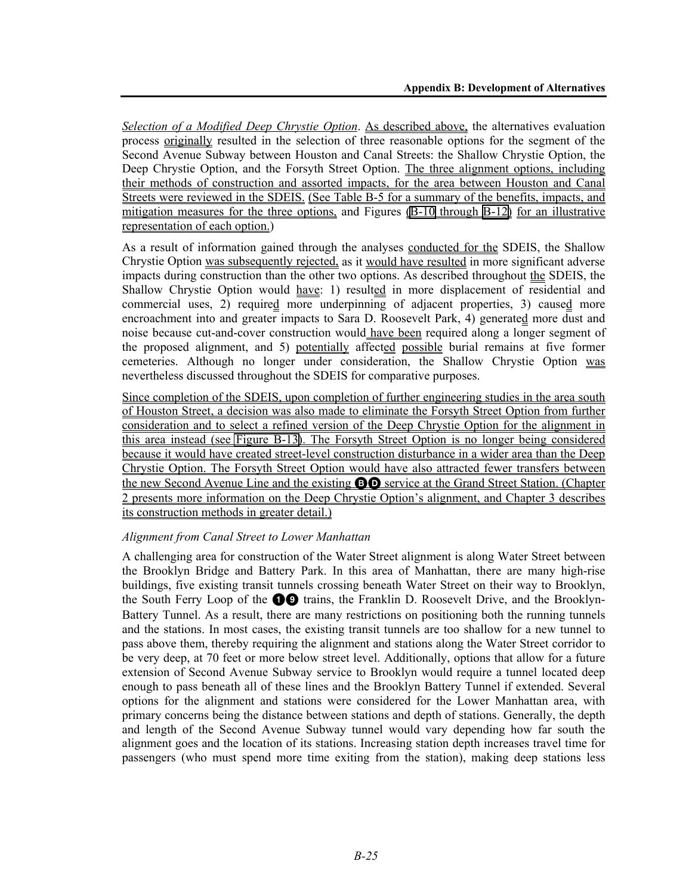*Selection of a Modified Deep Chrystie Option*. As described above, the alternatives evaluation process originally resulted in the selection of three reasonable options for the segment of the Second Avenue Subway between Houston and Canal Streets: the Shallow Chrystie Option, the Deep Chrystie Option, and the Forsyth Street Option. The three alignment options, including their methods of construction and assorted impacts, for the area between Houston and Canal Streets were reviewed in the SDEIS. (See Table B-5 for a summary of the benefits, impacts, and mitigation measures for the three options, and Figures (B-10 through B-12) for an illustrative representation of each option.)

As a result of information gained through the analyses conducted for the SDEIS, the Shallow Chrystie Option was subsequently rejected, as it would have resulted in more significant adverse impacts during construction than the other two options. As described throughout the SDEIS, the Shallow Chrystie Option would have: 1) resulted in more displacement of residential and commercial uses, 2) required more underpinning of adjacent properties, 3) caused more encroachment into and greater impacts to Sara D. Roosevelt Park, 4) generated more dust and noise because cut-and-cover construction would have been required along a longer segment of the proposed alignment, and 5) potentially affected possible burial remains at five former cemeteries. Although no longer under consideration, the Shallow Chrystie Option was nevertheless discussed throughout the SDEIS for comparative purposes.

Since completion of the SDEIS, upon completion of further engineering studies in the area south of Houston Street, a decision was also made to eliminate the Forsyth Street Option from further consideration and to select a refined version of the Deep Chrystie Option for the alignment in this area instead (see Figure B-13). The Forsyth Street Option is no longer being considered because it would have created street-level construction disturbance in a wider area than the Deep Chrystie Option. The Forsyth Street Option would have also attracted fewer transfers between the new Second Avenue Line and the existing **BO** service at the Grand Street Station. (Chapter 2 presents more information on the Deep Chrystie Option's alignment, and Chapter 3 describes its construction methods in greater detail.)

### *Alignment from Canal Street to Lower Manhattan*

A challenging area for construction of the Water Street alignment is along Water Street between the Brooklyn Bridge and Battery Park. In this area of Manhattan, there are many high-rise buildings, five existing transit tunnels crossing beneath Water Street on their way to Brooklyn, the South Ferry Loop of the  $\bigcirc$  trains, the Franklin D. Roosevelt Drive, and the Brooklyn-Battery Tunnel. As a result, there are many restrictions on positioning both the running tunnels and the stations. In most cases, the existing transit tunnels are too shallow for a new tunnel to pass above them, thereby requiring the alignment and stations along the Water Street corridor to be very deep, at 70 feet or more below street level. Additionally, options that allow for a future extension of Second Avenue Subway service to Brooklyn would require a tunnel located deep enough to pass beneath all of these lines and the Brooklyn Battery Tunnel if extended. Several options for the alignment and stations were considered for the Lower Manhattan area, with primary concerns being the distance between stations and depth of stations. Generally, the depth and length of the Second Avenue Subway tunnel would vary depending how far south the alignment goes and the location of its stations. Increasing station depth increases travel time for passengers (who must spend more time exiting from the station), making deep stations less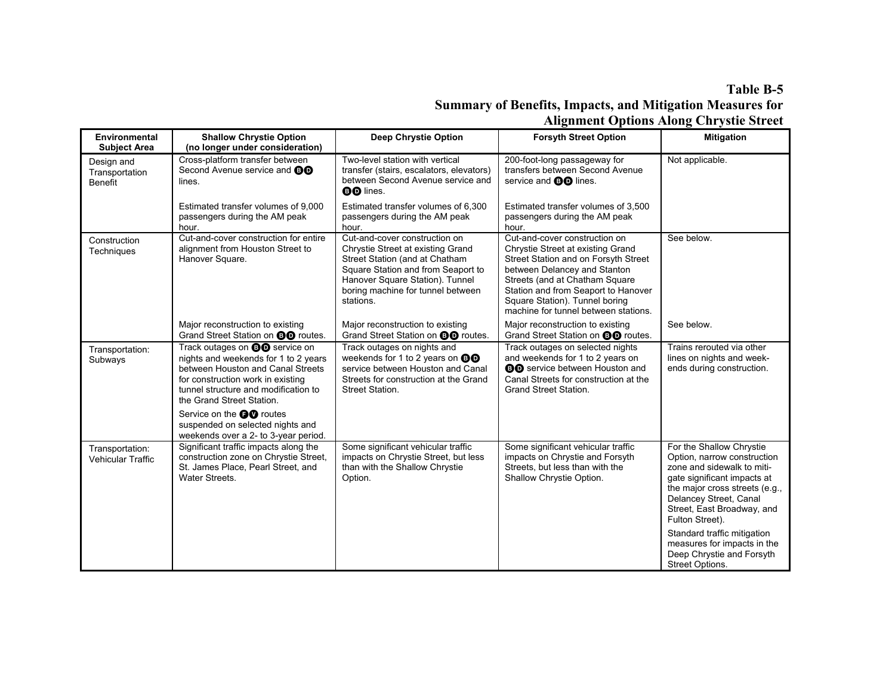# **Table B-5 Summary of Benefits, Impacts, and Mitigation Measures for Alignment Options Along Chrystie Street**

| <b>Environmental</b>                           | <b>Shallow Chrystie Option</b>                                                                                                                                                                                               | <b>Deep Chrystie Option</b>                                                                                                                                                                                                     | <b>Forsyth Street Option</b>                                                                                                                                                                                                                                                                  | <b>Mitigation</b>                                                                                                                                                                                                                                                                                                                               |
|------------------------------------------------|------------------------------------------------------------------------------------------------------------------------------------------------------------------------------------------------------------------------------|---------------------------------------------------------------------------------------------------------------------------------------------------------------------------------------------------------------------------------|-----------------------------------------------------------------------------------------------------------------------------------------------------------------------------------------------------------------------------------------------------------------------------------------------|-------------------------------------------------------------------------------------------------------------------------------------------------------------------------------------------------------------------------------------------------------------------------------------------------------------------------------------------------|
| <b>Subject Area</b>                            | (no longer under consideration)                                                                                                                                                                                              |                                                                                                                                                                                                                                 |                                                                                                                                                                                                                                                                                               |                                                                                                                                                                                                                                                                                                                                                 |
| Design and<br>Transportation<br><b>Benefit</b> | Cross-platform transfer between<br>Second Avenue service and <b>BD</b><br>lines.                                                                                                                                             | Two-level station with vertical<br>transfer (stairs, escalators, elevators)<br>between Second Avenue service and<br><b>BD</b> lines.                                                                                            | 200-foot-long passageway for<br>transfers between Second Avenue<br>service and <b>@@</b> lines.                                                                                                                                                                                               | Not applicable.                                                                                                                                                                                                                                                                                                                                 |
|                                                | Estimated transfer volumes of 9,000<br>passengers during the AM peak<br>hour.                                                                                                                                                | Estimated transfer volumes of 6,300<br>passengers during the AM peak<br>hour.                                                                                                                                                   | Estimated transfer volumes of 3,500<br>passengers during the AM peak<br>hour.                                                                                                                                                                                                                 |                                                                                                                                                                                                                                                                                                                                                 |
| Construction<br>Techniques                     | Cut-and-cover construction for entire<br>alignment from Houston Street to<br>Hanover Square.                                                                                                                                 | Cut-and-cover construction on<br>Chrystie Street at existing Grand<br>Street Station (and at Chatham<br>Square Station and from Seaport to<br>Hanover Square Station). Tunnel<br>boring machine for tunnel between<br>stations. | Cut-and-cover construction on<br>Chrystie Street at existing Grand<br>Street Station and on Forsyth Street<br>between Delancey and Stanton<br>Streets (and at Chatham Square<br>Station and from Seaport to Hanover<br>Square Station). Tunnel boring<br>machine for tunnel between stations. | See below.                                                                                                                                                                                                                                                                                                                                      |
|                                                | Major reconstruction to existing<br>Grand Street Station on <b>@@</b> routes.                                                                                                                                                | Major reconstruction to existing<br>Grand Street Station on <b>@@</b> routes.                                                                                                                                                   | Major reconstruction to existing<br>Grand Street Station on <b>@@</b> routes.                                                                                                                                                                                                                 | See below.                                                                                                                                                                                                                                                                                                                                      |
| Transportation:<br>Subways                     | Track outages on <b>@@</b> service on<br>nights and weekends for 1 to 2 years<br>between Houston and Canal Streets<br>for construction work in existing<br>tunnel structure and modification to<br>the Grand Street Station. | Track outages on nights and<br>weekends for 1 to 2 years on $\mathbf{\odot} \mathbf{\odot}$<br>service between Houston and Canal<br>Streets for construction at the Grand<br>Street Station.                                    | Track outages on selected nights<br>and weekends for 1 to 2 years on<br><b>BO</b> service between Houston and<br>Canal Streets for construction at the<br><b>Grand Street Station.</b>                                                                                                        | Trains rerouted via other<br>lines on nights and week-<br>ends during construction.                                                                                                                                                                                                                                                             |
|                                                | Service on the <b>OO</b> routes<br>suspended on selected nights and<br>weekends over a 2- to 3-year period.                                                                                                                  |                                                                                                                                                                                                                                 |                                                                                                                                                                                                                                                                                               |                                                                                                                                                                                                                                                                                                                                                 |
| Transportation:<br><b>Vehicular Traffic</b>    | Significant traffic impacts along the<br>construction zone on Chrystie Street,<br>St. James Place, Pearl Street, and<br>Water Streets.                                                                                       | Some significant vehicular traffic<br>impacts on Chrystie Street, but less<br>than with the Shallow Chrystie<br>Option.                                                                                                         | Some significant vehicular traffic<br>impacts on Chrystie and Forsyth<br>Streets, but less than with the<br>Shallow Chrystie Option.                                                                                                                                                          | For the Shallow Chrystie<br>Option, narrow construction<br>zone and sidewalk to miti-<br>gate significant impacts at<br>the major cross streets (e.g.,<br>Delancey Street, Canal<br>Street, East Broadway, and<br>Fulton Street).<br>Standard traffic mitigation<br>measures for impacts in the<br>Deep Chrystie and Forsyth<br>Street Options. |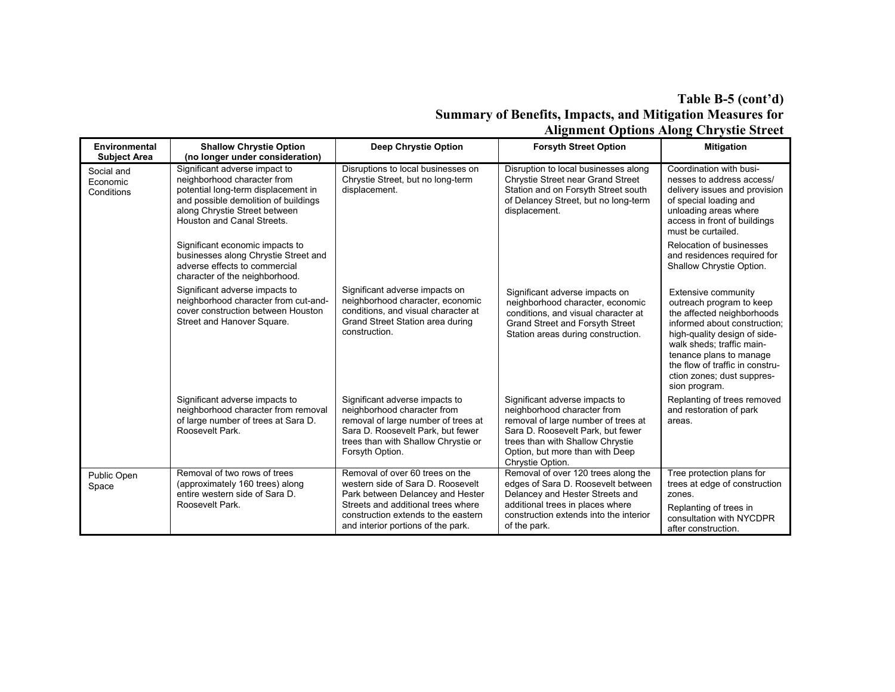# **Table B-5 (cont'd) Summary of Benefits, Impacts, and Mitigation Measures for Alignment Options Along Chrystie Street**

| <b>Environmental</b><br><b>Subject Area</b> | <b>Shallow Chrystie Option</b><br>(no longer under consideration)                                                                                                                                          | <b>Deep Chrystie Option</b>                                                                                                                                                                                                 | <b>Forsyth Street Option</b>                                                                                                                                                                                                         | <b>Mitigation</b>                                                                                                                                                                                                                                                                       |
|---------------------------------------------|------------------------------------------------------------------------------------------------------------------------------------------------------------------------------------------------------------|-----------------------------------------------------------------------------------------------------------------------------------------------------------------------------------------------------------------------------|--------------------------------------------------------------------------------------------------------------------------------------------------------------------------------------------------------------------------------------|-----------------------------------------------------------------------------------------------------------------------------------------------------------------------------------------------------------------------------------------------------------------------------------------|
| Social and<br>Economic<br>Conditions        | Significant adverse impact to<br>neighborhood character from<br>potential long-term displacement in<br>and possible demolition of buildings<br>along Chrystie Street between<br>Houston and Canal Streets. | Disruptions to local businesses on<br>Chrystie Street, but no long-term<br>displacement.                                                                                                                                    | Disruption to local businesses along<br>Chrystie Street near Grand Street<br>Station and on Forsyth Street south<br>of Delancey Street, but no long-term<br>displacement.                                                            | Coordination with busi-<br>nesses to address access/<br>delivery issues and provision<br>of special loading and<br>unloading areas where<br>access in front of buildings<br>must be curtailed.                                                                                          |
|                                             | Significant economic impacts to<br>businesses along Chrystie Street and<br>adverse effects to commercial<br>character of the neighborhood.                                                                 |                                                                                                                                                                                                                             |                                                                                                                                                                                                                                      | Relocation of businesses<br>and residences required for<br>Shallow Chrystie Option.                                                                                                                                                                                                     |
|                                             | Significant adverse impacts to<br>neighborhood character from cut-and-<br>cover construction between Houston<br>Street and Hanover Square.                                                                 | Significant adverse impacts on<br>neighborhood character, economic<br>conditions, and visual character at<br>Grand Street Station area during<br>construction.                                                              | Significant adverse impacts on<br>neighborhood character, economic<br>conditions, and visual character at<br>Grand Street and Forsyth Street<br>Station areas during construction.                                                   | Extensive community<br>outreach program to keep<br>the affected neighborhoods<br>informed about construction:<br>high-quality design of side-<br>walk sheds; traffic main-<br>tenance plans to manage<br>the flow of traffic in constru-<br>ction zones; dust suppres-<br>sion program. |
|                                             | Significant adverse impacts to<br>neighborhood character from removal<br>of large number of trees at Sara D.<br>Roosevelt Park.                                                                            | Significant adverse impacts to<br>neighborhood character from<br>removal of large number of trees at<br>Sara D. Roosevelt Park, but fewer<br>trees than with Shallow Chrystie or<br>Forsyth Option.                         | Significant adverse impacts to<br>neighborhood character from<br>removal of large number of trees at<br>Sara D. Roosevelt Park, but fewer<br>trees than with Shallow Chrystie<br>Option, but more than with Deep<br>Chrystie Option. | Replanting of trees removed<br>and restoration of park<br>areas.                                                                                                                                                                                                                        |
| Public Open<br>Space                        | Removal of two rows of trees<br>(approximately 160 trees) along<br>entire western side of Sara D.<br>Roosevelt Park.                                                                                       | Removal of over 60 trees on the<br>western side of Sara D. Roosevelt<br>Park between Delancey and Hester<br>Streets and additional trees where<br>construction extends to the eastern<br>and interior portions of the park. | Removal of over 120 trees along the<br>edges of Sara D. Roosevelt between<br>Delancey and Hester Streets and<br>additional trees in places where<br>construction extends into the interior<br>of the park.                           | Tree protection plans for<br>trees at edge of construction<br>zones.<br>Replanting of trees in<br>consultation with NYCDPR<br>after construction.                                                                                                                                       |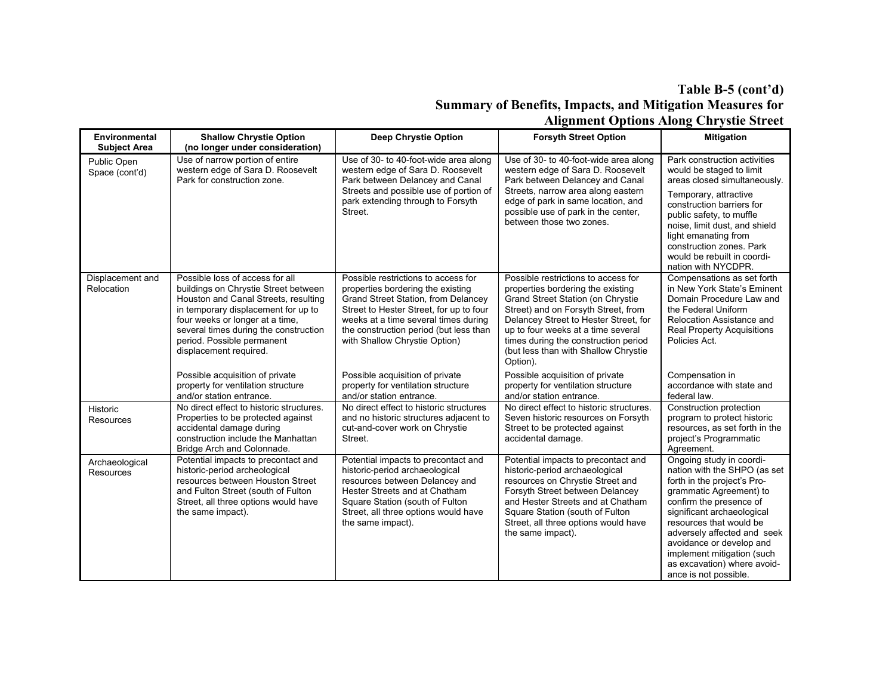# **Table B-5 (cont'd) Summary of Benefits, Impacts, and Mitigation Measures for Alignment Options Along Chrystie Street**

| Environmental<br><b>Subject Area</b> | <b>Shallow Chrystie Option</b><br>(no longer under consideration)                                                                                                                                                                                                                          | Deep Chrystie Option                                                                                                                                                                                                                                                                 | <b>Forsyth Street Option</b>                                                                                                                                                                                                                                                                                                    | <b>Mitigation</b>                                                                                                                                                                                                                                                                                                                                       |
|--------------------------------------|--------------------------------------------------------------------------------------------------------------------------------------------------------------------------------------------------------------------------------------------------------------------------------------------|--------------------------------------------------------------------------------------------------------------------------------------------------------------------------------------------------------------------------------------------------------------------------------------|---------------------------------------------------------------------------------------------------------------------------------------------------------------------------------------------------------------------------------------------------------------------------------------------------------------------------------|---------------------------------------------------------------------------------------------------------------------------------------------------------------------------------------------------------------------------------------------------------------------------------------------------------------------------------------------------------|
| Public Open<br>Space (cont'd)        | Use of narrow portion of entire<br>western edge of Sara D. Roosevelt<br>Park for construction zone.                                                                                                                                                                                        | Use of 30- to 40-foot-wide area along<br>western edge of Sara D. Roosevelt<br>Park between Delancey and Canal<br>Streets and possible use of portion of<br>park extending through to Forsyth<br>Street.                                                                              | Use of 30- to 40-foot-wide area along<br>western edge of Sara D. Roosevelt<br>Park between Delancey and Canal<br>Streets, narrow area along eastern<br>edge of park in same location, and<br>possible use of park in the center,<br>between those two zones.                                                                    | Park construction activities<br>would be staged to limit<br>areas closed simultaneously.<br>Temporary, attractive<br>construction barriers for<br>public safety, to muffle<br>noise, limit dust, and shield<br>light emanating from<br>construction zones. Park<br>would be rebuilt in coordi-<br>nation with NYCDPR.                                   |
| Displacement and<br>Relocation       | Possible loss of access for all<br>buildings on Chrystie Street between<br>Houston and Canal Streets, resulting<br>in temporary displacement for up to<br>four weeks or longer at a time,<br>several times during the construction<br>period. Possible permanent<br>displacement required. | Possible restrictions to access for<br>properties bordering the existing<br><b>Grand Street Station, from Delancey</b><br>Street to Hester Street, for up to four<br>weeks at a time several times during<br>the construction period (but less than<br>with Shallow Chrystie Option) | Possible restrictions to access for<br>properties bordering the existing<br>Grand Street Station (on Chrystie<br>Street) and on Forsyth Street, from<br>Delancey Street to Hester Street, for<br>up to four weeks at a time several<br>times during the construction period<br>(but less than with Shallow Chrystie<br>Option). | Compensations as set forth<br>in New York State's Eminent<br>Domain Procedure Law and<br>the Federal Uniform<br>Relocation Assistance and<br>Real Property Acquisitions<br>Policies Act.                                                                                                                                                                |
|                                      | Possible acquisition of private<br>property for ventilation structure<br>and/or station entrance.                                                                                                                                                                                          | Possible acquisition of private<br>property for ventilation structure<br>and/or station entrance.                                                                                                                                                                                    | Possible acquisition of private<br>property for ventilation structure<br>and/or station entrance.                                                                                                                                                                                                                               | Compensation in<br>accordance with state and<br>federal law.                                                                                                                                                                                                                                                                                            |
| Historic<br>Resources                | No direct effect to historic structures.<br>Properties to be protected against<br>accidental damage during<br>construction include the Manhattan<br>Bridge Arch and Colonnade.                                                                                                             | No direct effect to historic structures<br>and no historic structures adjacent to<br>cut-and-cover work on Chrystie<br>Street.                                                                                                                                                       | No direct effect to historic structures.<br>Seven historic resources on Forsyth<br>Street to be protected against<br>accidental damage.                                                                                                                                                                                         | Construction protection<br>program to protect historic<br>resources, as set forth in the<br>project's Programmatic<br>Agreement.                                                                                                                                                                                                                        |
| Archaeological<br>Resources          | Potential impacts to precontact and<br>historic-period archeological<br>resources between Houston Street<br>and Fulton Street (south of Fulton<br>Street, all three options would have<br>the same impact).                                                                                | Potential impacts to precontact and<br>historic-period archaeological<br>resources between Delancey and<br>Hester Streets and at Chatham<br>Square Station (south of Fulton<br>Street, all three options would have<br>the same impact).                                             | Potential impacts to precontact and<br>historic-period archaeological<br>resources on Chrystie Street and<br>Forsyth Street between Delancey<br>and Hester Streets and at Chatham<br>Square Station (south of Fulton<br>Street, all three options would have<br>the same impact).                                               | Ongoing study in coordi-<br>nation with the SHPO (as set<br>forth in the project's Pro-<br>grammatic Agreement) to<br>confirm the presence of<br>significant archaeological<br>resources that would be<br>adversely affected and seek<br>avoidance or develop and<br>implement mitigation (such<br>as excavation) where avoid-<br>ance is not possible. |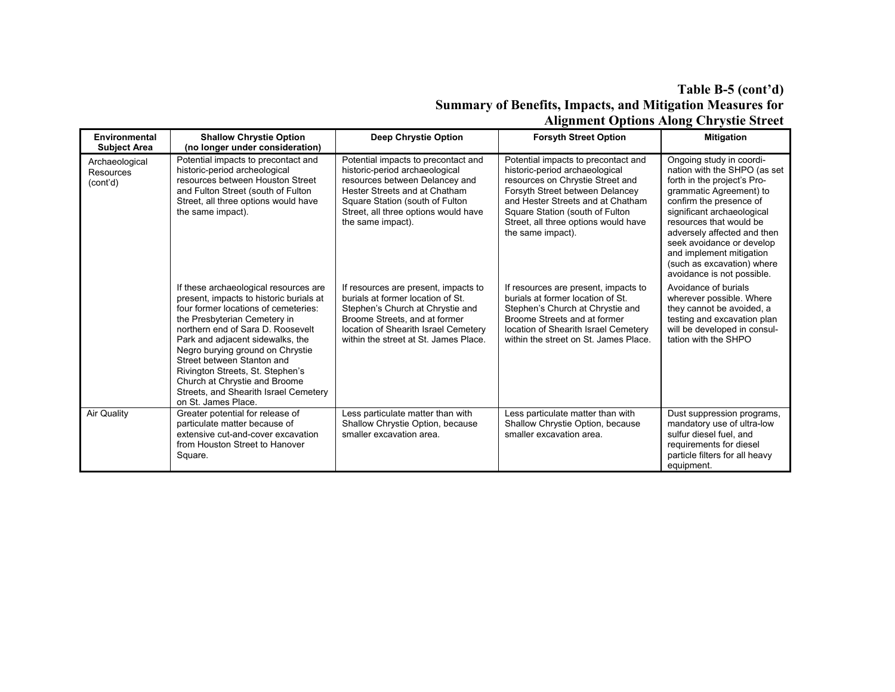# **Table B-5 (cont'd) Summary of Benefits, Impacts, and Mitigation Measures for Alignment Options Along Chrystie Street**

| Environmental                           | <b>Shallow Chrystie Option</b>                                                                                                                                                                                                                                                                                                                                                                                                           | Deep Chrystie Option                                                                                                                                                                                                                     | <b>Forsyth Street Option</b>                                                                                                                                                                                                                                                      | ---- <del>-</del> ----,-----<br><b>Mitigation</b>                                                                                                                                                                                                                                                                                                          |
|-----------------------------------------|------------------------------------------------------------------------------------------------------------------------------------------------------------------------------------------------------------------------------------------------------------------------------------------------------------------------------------------------------------------------------------------------------------------------------------------|------------------------------------------------------------------------------------------------------------------------------------------------------------------------------------------------------------------------------------------|-----------------------------------------------------------------------------------------------------------------------------------------------------------------------------------------------------------------------------------------------------------------------------------|------------------------------------------------------------------------------------------------------------------------------------------------------------------------------------------------------------------------------------------------------------------------------------------------------------------------------------------------------------|
| <b>Subject Area</b>                     | (no longer under consideration)                                                                                                                                                                                                                                                                                                                                                                                                          |                                                                                                                                                                                                                                          |                                                                                                                                                                                                                                                                                   |                                                                                                                                                                                                                                                                                                                                                            |
| Archaeological<br>Resources<br>(cont'd) | Potential impacts to precontact and<br>historic-period archeological<br>resources between Houston Street<br>and Fulton Street (south of Fulton<br>Street, all three options would have<br>the same impact).                                                                                                                                                                                                                              | Potential impacts to precontact and<br>historic-period archaeological<br>resources between Delancey and<br>Hester Streets and at Chatham<br>Square Station (south of Fulton<br>Street, all three options would have<br>the same impact). | Potential impacts to precontact and<br>historic-period archaeological<br>resources on Chrystie Street and<br>Forsyth Street between Delancey<br>and Hester Streets and at Chatham<br>Square Station (south of Fulton<br>Street, all three options would have<br>the same impact). | Ongoing study in coordi-<br>nation with the SHPO (as set<br>forth in the project's Pro-<br>grammatic Agreement) to<br>confirm the presence of<br>significant archaeological<br>resources that would be<br>adversely affected and then<br>seek avoidance or develop<br>and implement mitigation<br>(such as excavation) where<br>avoidance is not possible. |
|                                         | If these archaeological resources are<br>present, impacts to historic burials at<br>four former locations of cemeteries:<br>the Presbyterian Cemetery in<br>northern end of Sara D. Roosevelt<br>Park and adjacent sidewalks, the<br>Negro burying ground on Chrystie<br>Street between Stanton and<br>Rivington Streets, St. Stephen's<br>Church at Chrystie and Broome<br>Streets, and Shearith Israel Cemetery<br>on St. James Place. | If resources are present, impacts to<br>burials at former location of St.<br>Stephen's Church at Chrystie and<br>Broome Streets, and at former<br>location of Shearith Israel Cemetery<br>within the street at St. James Place.          | If resources are present, impacts to<br>burials at former location of St.<br>Stephen's Church at Chrystie and<br>Broome Streets and at former<br>location of Shearith Israel Cemetery<br>within the street on St. James Place.                                                    | Avoidance of burials<br>wherever possible. Where<br>they cannot be avoided, a<br>testing and excavation plan<br>will be developed in consul-<br>tation with the SHPO                                                                                                                                                                                       |
| Air Quality                             | Greater potential for release of<br>particulate matter because of<br>extensive cut-and-cover excavation<br>from Houston Street to Hanover<br>Square.                                                                                                                                                                                                                                                                                     | Less particulate matter than with<br>Shallow Chrystie Option, because<br>smaller excavation area.                                                                                                                                        | Less particulate matter than with<br>Shallow Chrystie Option, because<br>smaller excavation area.                                                                                                                                                                                 | Dust suppression programs,<br>mandatory use of ultra-low<br>sulfur diesel fuel, and<br>requirements for diesel<br>particle filters for all heavy<br>equipment.                                                                                                                                                                                             |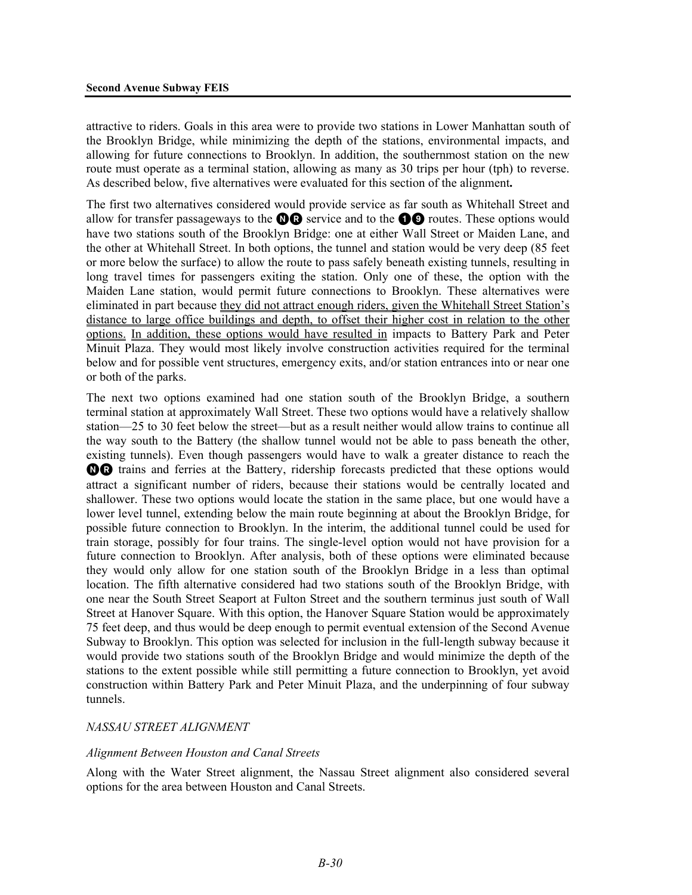attractive to riders. Goals in this area were to provide two stations in Lower Manhattan south of the Brooklyn Bridge, while minimizing the depth of the stations, environmental impacts, and allowing for future connections to Brooklyn. In addition, the southernmost station on the new route must operate as a terminal station, allowing as many as 30 trips per hour (tph) to reverse. As described below, five alternatives were evaluated for this section of the alignment**.**

The first two alternatives considered would provide service as far south as Whitehall Street and allow for transfer passageways to the  $\mathbf{\odot} \mathbf{\odot}$  service and to the  $\mathbf{\odot} \mathbf{\odot}$  routes. These options would have two stations south of the Brooklyn Bridge: one at either Wall Street or Maiden Lane, and the other at Whitehall Street. In both options, the tunnel and station would be very deep (85 feet or more below the surface) to allow the route to pass safely beneath existing tunnels, resulting in long travel times for passengers exiting the station. Only one of these, the option with the Maiden Lane station, would permit future connections to Brooklyn. These alternatives were eliminated in part because they did not attract enough riders, given the Whitehall Street Station's distance to large office buildings and depth, to offset their higher cost in relation to the other options. In addition, these options would have resulted in impacts to Battery Park and Peter Minuit Plaza. They would most likely involve construction activities required for the terminal below and for possible vent structures, emergency exits, and/or station entrances into or near one or both of the parks.

The next two options examined had one station south of the Brooklyn Bridge, a southern terminal station at approximately Wall Street. These two options would have a relatively shallow station—25 to 30 feet below the street—but as a result neither would allow trains to continue all the way south to the Battery (the shallow tunnel would not be able to pass beneath the other, existing tunnels). Even though passengers would have to walk a greater distance to reach the NR trains and ferries at the Battery, ridership forecasts predicted that these options would attract a significant number of riders, because their stations would be centrally located and shallower. These two options would locate the station in the same place, but one would have a lower level tunnel, extending below the main route beginning at about the Brooklyn Bridge, for possible future connection to Brooklyn. In the interim, the additional tunnel could be used for train storage, possibly for four trains. The single-level option would not have provision for a future connection to Brooklyn. After analysis, both of these options were eliminated because they would only allow for one station south of the Brooklyn Bridge in a less than optimal location. The fifth alternative considered had two stations south of the Brooklyn Bridge, with one near the South Street Seaport at Fulton Street and the southern terminus just south of Wall Street at Hanover Square. With this option, the Hanover Square Station would be approximately 75 feet deep, and thus would be deep enough to permit eventual extension of the Second Avenue Subway to Brooklyn. This option was selected for inclusion in the full-length subway because it would provide two stations south of the Brooklyn Bridge and would minimize the depth of the stations to the extent possible while still permitting a future connection to Brooklyn, yet avoid construction within Battery Park and Peter Minuit Plaza, and the underpinning of four subway tunnels.

### *NASSAU STREET ALIGNMENT*

### *Alignment Between Houston and Canal Streets*

Along with the Water Street alignment, the Nassau Street alignment also considered several options for the area between Houston and Canal Streets.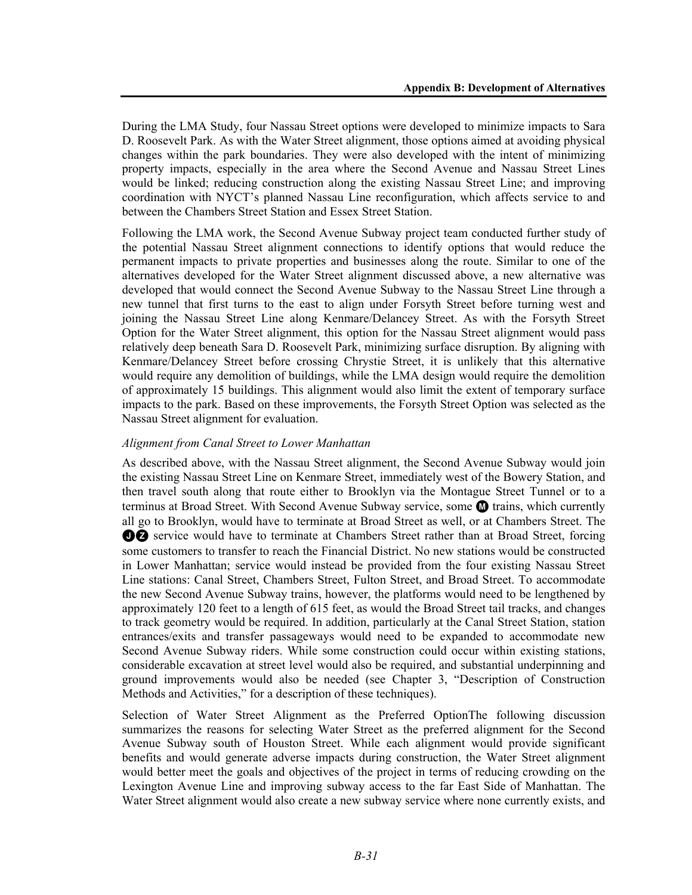During the LMA Study, four Nassau Street options were developed to minimize impacts to Sara D. Roosevelt Park. As with the Water Street alignment, those options aimed at avoiding physical changes within the park boundaries. They were also developed with the intent of minimizing property impacts, especially in the area where the Second Avenue and Nassau Street Lines would be linked; reducing construction along the existing Nassau Street Line; and improving coordination with NYCT's planned Nassau Line reconfiguration, which affects service to and between the Chambers Street Station and Essex Street Station.

Following the LMA work, the Second Avenue Subway project team conducted further study of the potential Nassau Street alignment connections to identify options that would reduce the permanent impacts to private properties and businesses along the route. Similar to one of the alternatives developed for the Water Street alignment discussed above, a new alternative was developed that would connect the Second Avenue Subway to the Nassau Street Line through a new tunnel that first turns to the east to align under Forsyth Street before turning west and joining the Nassau Street Line along Kenmare/Delancey Street. As with the Forsyth Street Option for the Water Street alignment, this option for the Nassau Street alignment would pass relatively deep beneath Sara D. Roosevelt Park, minimizing surface disruption. By aligning with Kenmare/Delancey Street before crossing Chrystie Street, it is unlikely that this alternative would require any demolition of buildings, while the LMA design would require the demolition of approximately 15 buildings. This alignment would also limit the extent of temporary surface impacts to the park. Based on these improvements, the Forsyth Street Option was selected as the Nassau Street alignment for evaluation.

# *Alignment from Canal Street to Lower Manhattan*

As described above, with the Nassau Street alignment, the Second Avenue Subway would join the existing Nassau Street Line on Kenmare Street, immediately west of the Bowery Station, and then travel south along that route either to Brooklyn via the Montague Street Tunnel or to a terminus at Broad Street. With Second Avenue Subway service, some  $\blacksquare$  trains, which currently all go to Brooklyn, would have to terminate at Broad Street as well, or at Chambers Street. The **DZ** service would have to terminate at Chambers Street rather than at Broad Street, forcing some customers to transfer to reach the Financial District. No new stations would be constructed in Lower Manhattan; service would instead be provided from the four existing Nassau Street Line stations: Canal Street, Chambers Street, Fulton Street, and Broad Street. To accommodate the new Second Avenue Subway trains, however, the platforms would need to be lengthened by approximately 120 feet to a length of 615 feet, as would the Broad Street tail tracks, and changes to track geometry would be required. In addition, particularly at the Canal Street Station, station entrances/exits and transfer passageways would need to be expanded to accommodate new Second Avenue Subway riders. While some construction could occur within existing stations, considerable excavation at street level would also be required, and substantial underpinning and ground improvements would also be needed (see Chapter 3, "Description of Construction Methods and Activities," for a description of these techniques).

Selection of Water Street Alignment as the Preferred OptionThe following discussion summarizes the reasons for selecting Water Street as the preferred alignment for the Second Avenue Subway south of Houston Street. While each alignment would provide significant benefits and would generate adverse impacts during construction, the Water Street alignment would better meet the goals and objectives of the project in terms of reducing crowding on the Lexington Avenue Line and improving subway access to the far East Side of Manhattan. The Water Street alignment would also create a new subway service where none currently exists, and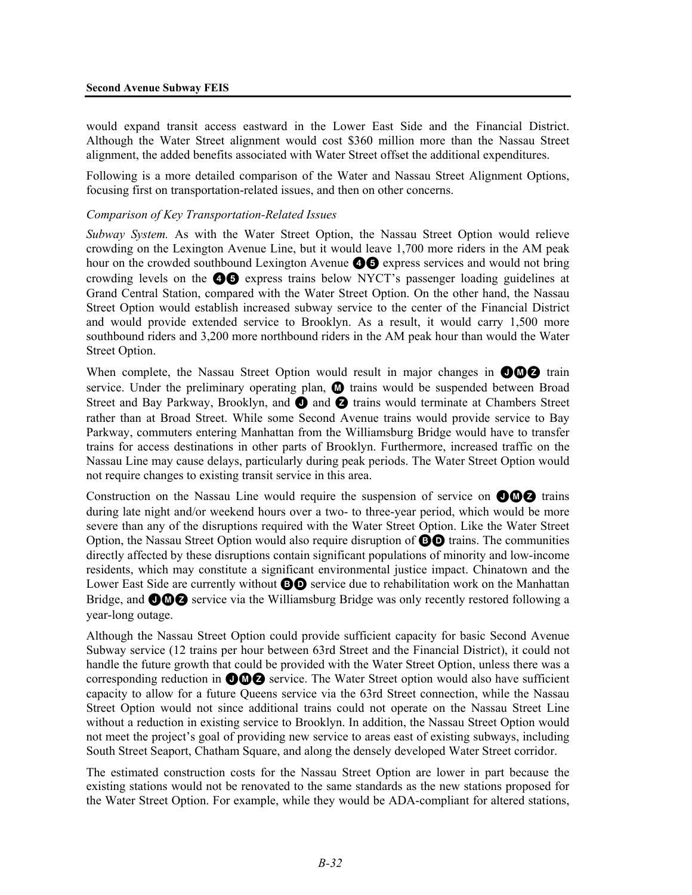would expand transit access eastward in the Lower East Side and the Financial District. Although the Water Street alignment would cost \$360 million more than the Nassau Street alignment, the added benefits associated with Water Street offset the additional expenditures.

Following is a more detailed comparison of the Water and Nassau Street Alignment Options, focusing first on transportation-related issues, and then on other concerns.

#### *Comparison of Key Transportation-Related Issues*

*Subway System.* As with the Water Street Option, the Nassau Street Option would relieve crowding on the Lexington Avenue Line, but it would leave 1,700 more riders in the AM peak hour on the crowded southbound Lexington Avenue  $\bullet$  express services and would not bring crowding levels on the 45 express trains below NYCT's passenger loading guidelines at Grand Central Station, compared with the Water Street Option. On the other hand, the Nassau Street Option would establish increased subway service to the center of the Financial District and would provide extended service to Brooklyn. As a result, it would carry 1,500 more southbound riders and 3,200 more northbound riders in the AM peak hour than would the Water Street Option.

When complete, the Nassau Street Option would result in major changes in  $\bigcirc \bigcirc \bigcirc$  train service. Under the preliminary operating plan,  $\bf{O}$  trains would be suspended between Broad Street and Bay Parkway, Brooklyn, and  $\bullet$  and  $\bullet$  trains would terminate at Chambers Street rather than at Broad Street. While some Second Avenue trains would provide service to Bay Parkway, commuters entering Manhattan from the Williamsburg Bridge would have to transfer trains for access destinations in other parts of Brooklyn. Furthermore, increased traffic on the Nassau Line may cause delays, particularly during peak periods. The Water Street Option would not require changes to existing transit service in this area.

Construction on the Nassau Line would require the suspension of service on  $\bigcirc \mathbb{Q} \bigcirc$  trains during late night and/or weekend hours over a two- to three-year period, which would be more severe than any of the disruptions required with the Water Street Option. Like the Water Street Option, the Nassau Street Option would also require disruption of **BO** trains. The communities directly affected by these disruptions contain significant populations of minority and low-income residents, which may constitute a significant environmental justice impact. Chinatown and the Lower East Side are currently without **BO** service due to rehabilitation work on the Manhattan Bridge, and  $\bigcirc$   $\bigcirc$  service via the Williamsburg Bridge was only recently restored following a year-long outage.

Although the Nassau Street Option could provide sufficient capacity for basic Second Avenue Subway service (12 trains per hour between 63rd Street and the Financial District), it could not handle the future growth that could be provided with the Water Street Option, unless there was a corresponding reduction in **OMZ** service. The Water Street option would also have sufficient capacity to allow for a future Queens service via the 63rd Street connection, while the Nassau Street Option would not since additional trains could not operate on the Nassau Street Line without a reduction in existing service to Brooklyn. In addition, the Nassau Street Option would not meet the project's goal of providing new service to areas east of existing subways, including South Street Seaport, Chatham Square, and along the densely developed Water Street corridor.

The estimated construction costs for the Nassau Street Option are lower in part because the existing stations would not be renovated to the same standards as the new stations proposed for the Water Street Option. For example, while they would be ADA-compliant for altered stations,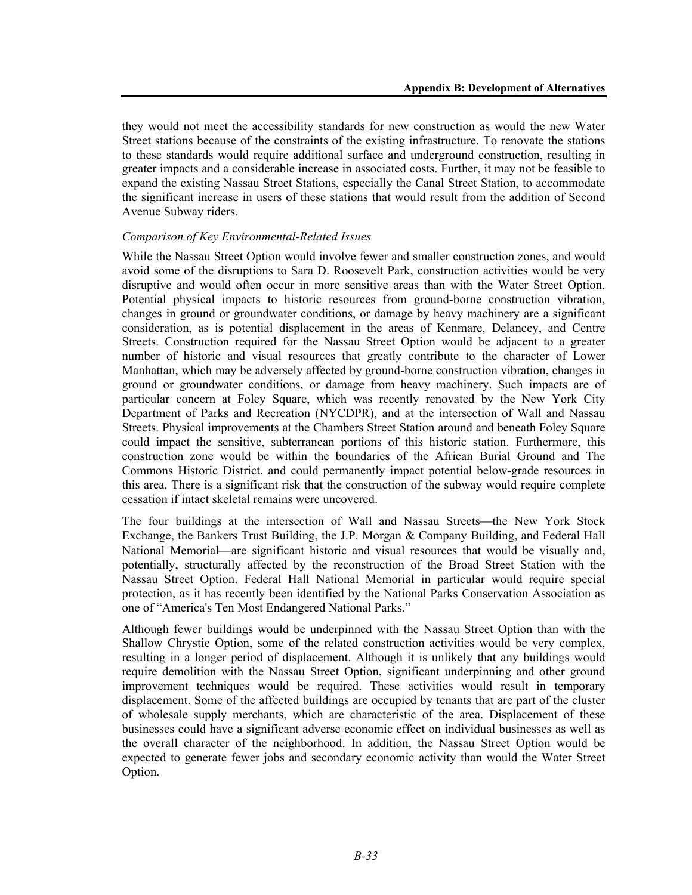they would not meet the accessibility standards for new construction as would the new Water Street stations because of the constraints of the existing infrastructure. To renovate the stations to these standards would require additional surface and underground construction, resulting in greater impacts and a considerable increase in associated costs. Further, it may not be feasible to expand the existing Nassau Street Stations, especially the Canal Street Station, to accommodate the significant increase in users of these stations that would result from the addition of Second Avenue Subway riders.

# *Comparison of Key Environmental-Related Issues*

While the Nassau Street Option would involve fewer and smaller construction zones, and would avoid some of the disruptions to Sara D. Roosevelt Park, construction activities would be very disruptive and would often occur in more sensitive areas than with the Water Street Option. Potential physical impacts to historic resources from ground-borne construction vibration, changes in ground or groundwater conditions, or damage by heavy machinery are a significant consideration, as is potential displacement in the areas of Kenmare, Delancey, and Centre Streets. Construction required for the Nassau Street Option would be adjacent to a greater number of historic and visual resources that greatly contribute to the character of Lower Manhattan, which may be adversely affected by ground-borne construction vibration, changes in ground or groundwater conditions, or damage from heavy machinery. Such impacts are of particular concern at Foley Square, which was recently renovated by the New York City Department of Parks and Recreation (NYCDPR), and at the intersection of Wall and Nassau Streets. Physical improvements at the Chambers Street Station around and beneath Foley Square could impact the sensitive, subterranean portions of this historic station. Furthermore, this construction zone would be within the boundaries of the African Burial Ground and The Commons Historic District, and could permanently impact potential below-grade resources in this area. There is a significant risk that the construction of the subway would require complete cessation if intact skeletal remains were uncovered.

The four buildings at the intersection of Wall and Nassau Streets—the New York Stock Exchange, the Bankers Trust Building, the J.P. Morgan & Company Building, and Federal Hall National Memorial—are significant historic and visual resources that would be visually and, potentially, structurally affected by the reconstruction of the Broad Street Station with the Nassau Street Option. Federal Hall National Memorial in particular would require special protection, as it has recently been identified by the National Parks Conservation Association as one of "America's Ten Most Endangered National Parks."

Although fewer buildings would be underpinned with the Nassau Street Option than with the Shallow Chrystie Option, some of the related construction activities would be very complex, resulting in a longer period of displacement. Although it is unlikely that any buildings would require demolition with the Nassau Street Option, significant underpinning and other ground improvement techniques would be required. These activities would result in temporary displacement. Some of the affected buildings are occupied by tenants that are part of the cluster of wholesale supply merchants, which are characteristic of the area. Displacement of these businesses could have a significant adverse economic effect on individual businesses as well as the overall character of the neighborhood. In addition, the Nassau Street Option would be expected to generate fewer jobs and secondary economic activity than would the Water Street Option.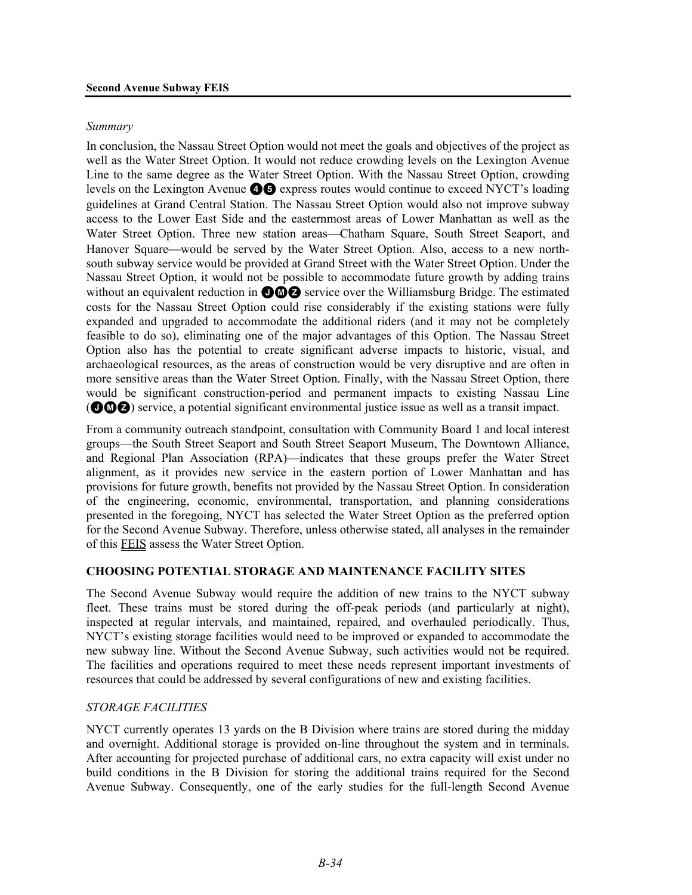#### *Summary*

In conclusion, the Nassau Street Option would not meet the goals and objectives of the project as well as the Water Street Option. It would not reduce crowding levels on the Lexington Avenue Line to the same degree as the Water Street Option. With the Nassau Street Option, crowding levels on the Lexington Avenue  $\bigcirc$  express routes would continue to exceed NYCT's loading guidelines at Grand Central Station. The Nassau Street Option would also not improve subway access to the Lower East Side and the easternmost areas of Lower Manhattan as well as the Water Street Option. Three new station areas—Chatham Square, South Street Seaport, and Hanover Square—would be served by the Water Street Option. Also, access to a new northsouth subway service would be provided at Grand Street with the Water Street Option. Under the Nassau Street Option, it would not be possible to accommodate future growth by adding trains without an equivalent reduction in  $\bigcirc$   $\bigcirc$   $\bigcirc$  service over the Williamsburg Bridge. The estimated costs for the Nassau Street Option could rise considerably if the existing stations were fully expanded and upgraded to accommodate the additional riders (and it may not be completely feasible to do so), eliminating one of the major advantages of this Option. The Nassau Street Option also has the potential to create significant adverse impacts to historic, visual, and archaeological resources, as the areas of construction would be very disruptive and are often in more sensitive areas than the Water Street Option. Finally, with the Nassau Street Option, there would be significant construction-period and permanent impacts to existing Nassau Line (JMZ) service, a potential significant environmental justice issue as well as a transit impact.

From a community outreach standpoint, consultation with Community Board 1 and local interest groups—the South Street Seaport and South Street Seaport Museum, The Downtown Alliance, and Regional Plan Association (RPA)—indicates that these groups prefer the Water Street alignment, as it provides new service in the eastern portion of Lower Manhattan and has provisions for future growth, benefits not provided by the Nassau Street Option. In consideration of the engineering, economic, environmental, transportation, and planning considerations presented in the foregoing, NYCT has selected the Water Street Option as the preferred option for the Second Avenue Subway. Therefore, unless otherwise stated, all analyses in the remainder of this FEIS assess the Water Street Option.

### **CHOOSING POTENTIAL STORAGE AND MAINTENANCE FACILITY SITES**

The Second Avenue Subway would require the addition of new trains to the NYCT subway fleet. These trains must be stored during the off-peak periods (and particularly at night), inspected at regular intervals, and maintained, repaired, and overhauled periodically. Thus, NYCT's existing storage facilities would need to be improved or expanded to accommodate the new subway line. Without the Second Avenue Subway, such activities would not be required. The facilities and operations required to meet these needs represent important investments of resources that could be addressed by several configurations of new and existing facilities.

### *STORAGE FACILITIES*

NYCT currently operates 13 yards on the B Division where trains are stored during the midday and overnight. Additional storage is provided on-line throughout the system and in terminals. After accounting for projected purchase of additional cars, no extra capacity will exist under no build conditions in the B Division for storing the additional trains required for the Second Avenue Subway. Consequently, one of the early studies for the full-length Second Avenue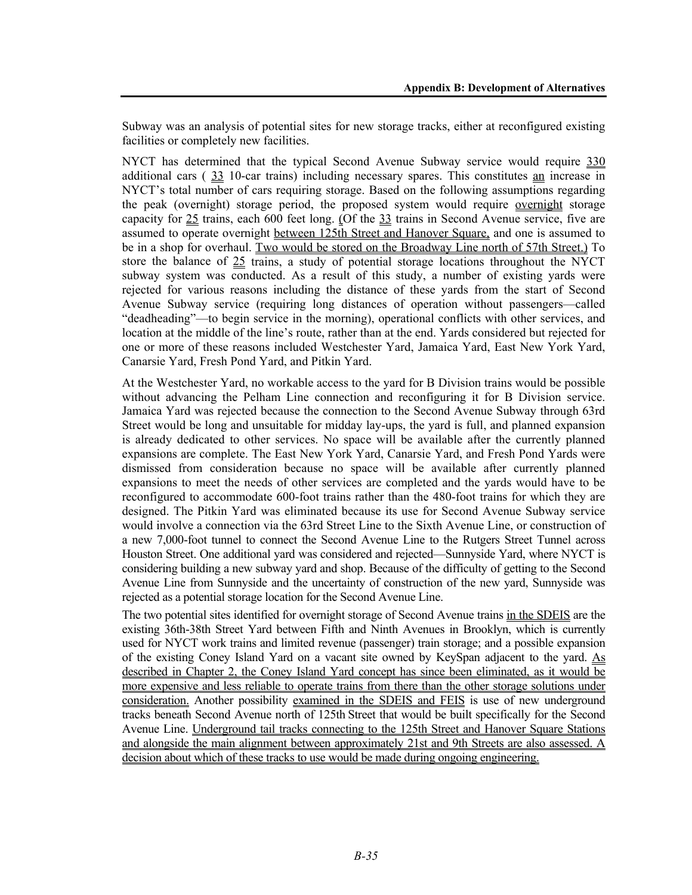Subway was an analysis of potential sites for new storage tracks, either at reconfigured existing facilities or completely new facilities.

NYCT has determined that the typical Second Avenue Subway service would require 330 additional cars ( 33 10-car trains) including necessary spares. This constitutes an increase in NYCT's total number of cars requiring storage. Based on the following assumptions regarding the peak (overnight) storage period, the proposed system would require overnight storage capacity for 25 trains, each 600 feet long. (Of the 33 trains in Second Avenue service, five are assumed to operate overnight between 125th Street and Hanover Square, and one is assumed to be in a shop for overhaul. Two would be stored on the Broadway Line north of 57th Street.) To store the balance of 25 trains, a study of potential storage locations throughout the NYCT subway system was conducted. As a result of this study, a number of existing yards were rejected for various reasons including the distance of these yards from the start of Second Avenue Subway service (requiring long distances of operation without passengers—called "deadheading"—to begin service in the morning), operational conflicts with other services, and location at the middle of the line's route, rather than at the end. Yards considered but rejected for one or more of these reasons included Westchester Yard, Jamaica Yard, East New York Yard, Canarsie Yard, Fresh Pond Yard, and Pitkin Yard.

At the Westchester Yard, no workable access to the yard for B Division trains would be possible without advancing the Pelham Line connection and reconfiguring it for B Division service. Jamaica Yard was rejected because the connection to the Second Avenue Subway through 63rd Street would be long and unsuitable for midday lay-ups, the yard is full, and planned expansion is already dedicated to other services. No space will be available after the currently planned expansions are complete. The East New York Yard, Canarsie Yard, and Fresh Pond Yards were dismissed from consideration because no space will be available after currently planned expansions to meet the needs of other services are completed and the yards would have to be reconfigured to accommodate 600-foot trains rather than the 480-foot trains for which they are designed. The Pitkin Yard was eliminated because its use for Second Avenue Subway service would involve a connection via the 63rd Street Line to the Sixth Avenue Line, or construction of a new 7,000-foot tunnel to connect the Second Avenue Line to the Rutgers Street Tunnel across Houston Street. One additional yard was considered and rejected—Sunnyside Yard, where NYCT is considering building a new subway yard and shop. Because of the difficulty of getting to the Second Avenue Line from Sunnyside and the uncertainty of construction of the new yard, Sunnyside was rejected as a potential storage location for the Second Avenue Line.

The two potential sites identified for overnight storage of Second Avenue trains in the SDEIS are the existing 36th-38th Street Yard between Fifth and Ninth Avenues in Brooklyn, which is currently used for NYCT work trains and limited revenue (passenger) train storage; and a possible expansion of the existing Coney Island Yard on a vacant site owned by KeySpan adjacent to the yard. As described in Chapter 2, the Coney Island Yard concept has since been eliminated, as it would be more expensive and less reliable to operate trains from there than the other storage solutions under consideration. Another possibility examined in the SDEIS and FEIS is use of new underground tracks beneath Second Avenue north of 125th Street that would be built specifically for the Second Avenue Line. Underground tail tracks connecting to the 125th Street and Hanover Square Stations and alongside the main alignment between approximately 21st and 9th Streets are also assessed. A decision about which of these tracks to use would be made during ongoing engineering.